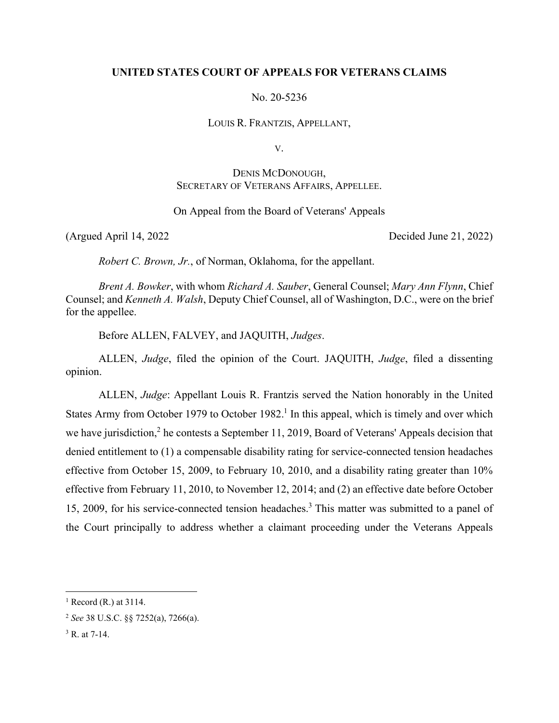# **UNITED STATES COURT OF APPEALS FOR VETERANS CLAIMS**

No. 20-5236

LOUIS R. FRANTZIS, APPELLANT,

V.

# DENIS MCDONOUGH, SECRETARY OF VETERANS AFFAIRS, APPELLEE.

## On Appeal from the Board of Veterans' Appeals

(Argued April 14, 2022 Decided June 21, 2022)

*Robert C. Brown, Jr.*, of Norman, Oklahoma, for the appellant.

*Brent A. Bowker*, with whom *Richard A. Sauber*, General Counsel; *Mary Ann Flynn*, Chief Counsel; and *Kenneth A. Walsh*, Deputy Chief Counsel, all of Washington, D.C., were on the brief for the appellee.

Before ALLEN, FALVEY, and JAQUITH, *Judges*.

ALLEN, *Judge*, filed the opinion of the Court. JAQUITH, *Judge*, filed a dissenting opinion.

ALLEN, *Judge*: Appellant Louis R. Frantzis served the Nation honorably in the United States Army from October 1979 to October 1982.<sup>1</sup> In this appeal, which is timely and over which we have jurisdiction,<sup>2</sup> he contests a September 11, 2019, Board of Veterans' Appeals decision that denied entitlement to (1) a compensable disability rating for service-connected tension headaches effective from October 15, 2009, to February 10, 2010, and a disability rating greater than 10% effective from February 11, 2010, to November 12, 2014; and (2) an effective date before October 15, 2009, for his service-connected tension headaches.<sup>3</sup> This matter was submitted to a panel of the Court principally to address whether a claimant proceeding under the Veterans Appeals

 $<sup>1</sup>$  Record (R.) at 3114.</sup>

<sup>2</sup> *See* 38 U.S.C. §§ 7252(a), 7266(a).

<sup>&</sup>lt;sup>3</sup> R. at 7-14.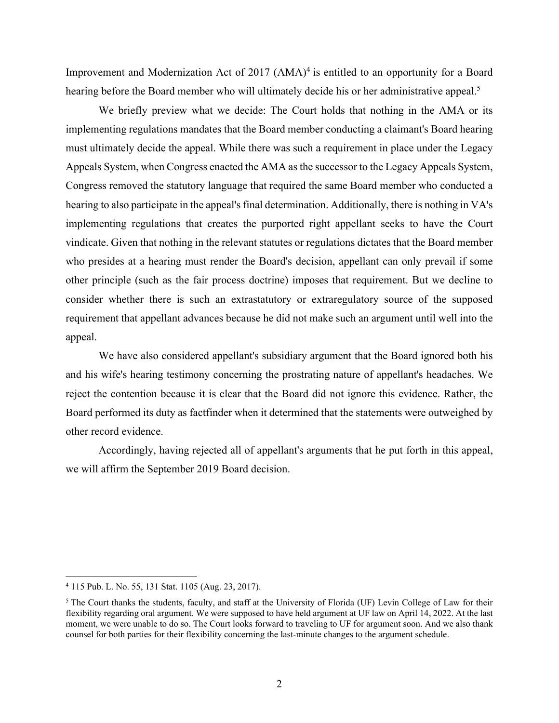Improvement and Modernization Act of  $2017$   $(AMA)^4$  is entitled to an opportunity for a Board hearing before the Board member who will ultimately decide his or her administrative appeal.<sup>5</sup>

We briefly preview what we decide: The Court holds that nothing in the AMA or its implementing regulations mandates that the Board member conducting a claimant's Board hearing must ultimately decide the appeal. While there was such a requirement in place under the Legacy Appeals System, when Congress enacted the AMA as the successor to the Legacy Appeals System, Congress removed the statutory language that required the same Board member who conducted a hearing to also participate in the appeal's final determination. Additionally, there is nothing in VA's implementing regulations that creates the purported right appellant seeks to have the Court vindicate. Given that nothing in the relevant statutes or regulations dictates that the Board member who presides at a hearing must render the Board's decision, appellant can only prevail if some other principle (such as the fair process doctrine) imposes that requirement. But we decline to consider whether there is such an extrastatutory or extraregulatory source of the supposed requirement that appellant advances because he did not make such an argument until well into the appeal.

We have also considered appellant's subsidiary argument that the Board ignored both his and his wife's hearing testimony concerning the prostrating nature of appellant's headaches. We reject the contention because it is clear that the Board did not ignore this evidence. Rather, the Board performed its duty as factfinder when it determined that the statements were outweighed by other record evidence.

Accordingly, having rejected all of appellant's arguments that he put forth in this appeal, we will affirm the September 2019 Board decision.

<sup>4</sup> 115 Pub. L. No. 55, 131 Stat. 1105 (Aug. 23, 2017).

<sup>&</sup>lt;sup>5</sup> The Court thanks the students, faculty, and staff at the University of Florida (UF) Levin College of Law for their flexibility regarding oral argument. We were supposed to have held argument at UF law on April 14, 2022. At the last moment, we were unable to do so. The Court looks forward to traveling to UF for argument soon. And we also thank counsel for both parties for their flexibility concerning the last-minute changes to the argument schedule.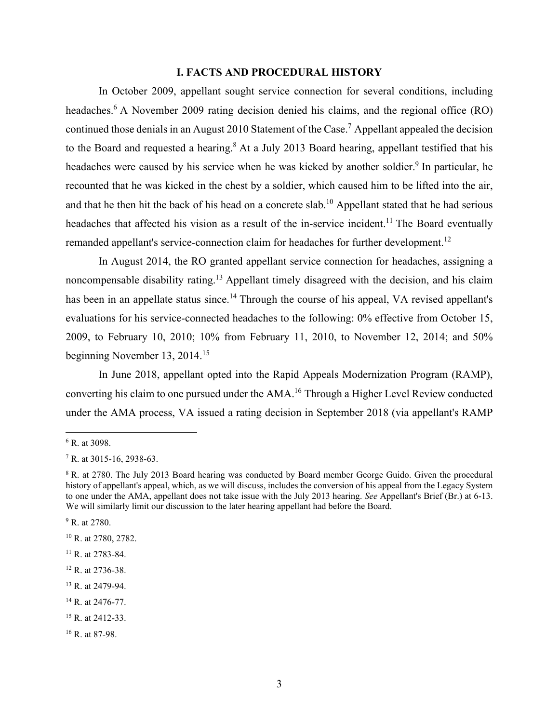### **I. FACTS AND PROCEDURAL HISTORY**

In October 2009, appellant sought service connection for several conditions, including headaches.<sup>6</sup> A November 2009 rating decision denied his claims, and the regional office (RO) continued those denials in an August 2010 Statement of the Case.<sup>7</sup> Appellant appealed the decision to the Board and requested a hearing.<sup>8</sup> At a July 2013 Board hearing, appellant testified that his headaches were caused by his service when he was kicked by another soldier.<sup>9</sup> In particular, he recounted that he was kicked in the chest by a soldier, which caused him to be lifted into the air, and that he then hit the back of his head on a concrete slab.10 Appellant stated that he had serious headaches that affected his vision as a result of the in-service incident.<sup>11</sup> The Board eventually remanded appellant's service-connection claim for headaches for further development.<sup>12</sup>

In August 2014, the RO granted appellant service connection for headaches, assigning a noncompensable disability rating.<sup>13</sup> Appellant timely disagreed with the decision, and his claim has been in an appellate status since.<sup>14</sup> Through the course of his appeal, VA revised appellant's evaluations for his service-connected headaches to the following: 0% effective from October 15, 2009, to February 10, 2010; 10% from February 11, 2010, to November 12, 2014; and 50% beginning November 13, 2014.15

In June 2018, appellant opted into the Rapid Appeals Modernization Program (RAMP), converting his claim to one pursued under the AMA.16 Through a Higher Level Review conducted under the AMA process, VA issued a rating decision in September 2018 (via appellant's RAMP

<sup>14</sup> R. at 2476-77.

<sup>6</sup> R. at 3098.

 $7 R.$  at 3015-16, 2938-63.

<sup>&</sup>lt;sup>8</sup> R. at 2780. The July 2013 Board hearing was conducted by Board member George Guido. Given the procedural history of appellant's appeal, which, as we will discuss, includes the conversion of his appeal from the Legacy System to one under the AMA, appellant does not take issue with the July 2013 hearing. *See* Appellant's Brief (Br.) at 6-13. We will similarly limit our discussion to the later hearing appellant had before the Board.

<sup>&</sup>lt;sup>9</sup> R. at 2780.

<sup>10</sup> R. at 2780, 2782.

<sup>&</sup>lt;sup>11</sup> R. at 2783-84.

<sup>12</sup> R. at 2736-38.

<sup>13</sup> R. at 2479-94.

 $15$  R. at 2412-33.

<sup>&</sup>lt;sup>16</sup> R. at 87-98.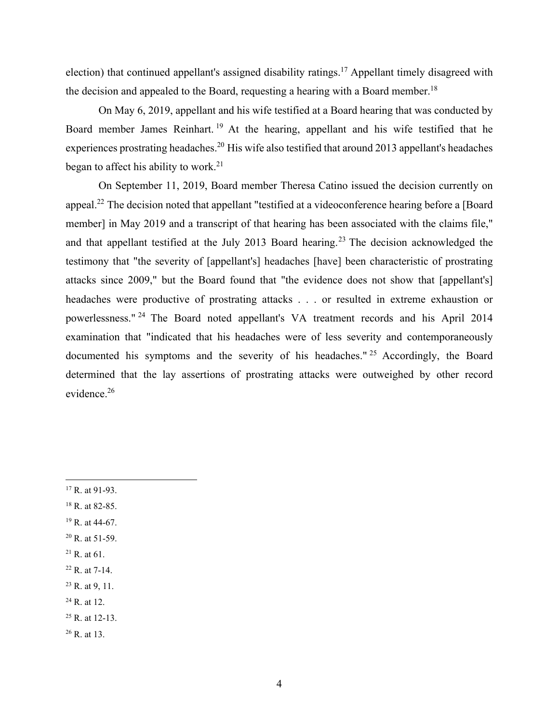election) that continued appellant's assigned disability ratings.<sup>17</sup> Appellant timely disagreed with the decision and appealed to the Board, requesting a hearing with a Board member.<sup>18</sup>

On May 6, 2019, appellant and his wife testified at a Board hearing that was conducted by Board member James Reinhart. 19 At the hearing, appellant and his wife testified that he experiences prostrating headaches.20 His wife also testified that around 2013 appellant's headaches began to affect his ability to work. $21$ 

On September 11, 2019, Board member Theresa Catino issued the decision currently on appeal.22 The decision noted that appellant "testified at a videoconference hearing before a [Board member] in May 2019 and a transcript of that hearing has been associated with the claims file," and that appellant testified at the July 2013 Board hearing.<sup>23</sup> The decision acknowledged the testimony that "the severity of [appellant's] headaches [have] been characteristic of prostrating attacks since 2009," but the Board found that "the evidence does not show that [appellant's] headaches were productive of prostrating attacks . . . or resulted in extreme exhaustion or powerlessness." 24 The Board noted appellant's VA treatment records and his April 2014 examination that "indicated that his headaches were of less severity and contemporaneously documented his symptoms and the severity of his headaches." 25 Accordingly, the Board determined that the lay assertions of prostrating attacks were outweighed by other record evidence.<sup>26</sup>

- $17$  R. at 91-93.
- 18 R. at 82-85.
- 19 R. at 44-67.
- 20 R. at 51-59.
- $^{21}$  R. at 61.
- 22 R. at 7-14.

- 24 R. at 12.
- 25 R. at 12-13.
- 26 R. at 13.

 $23$  R. at 9, 11.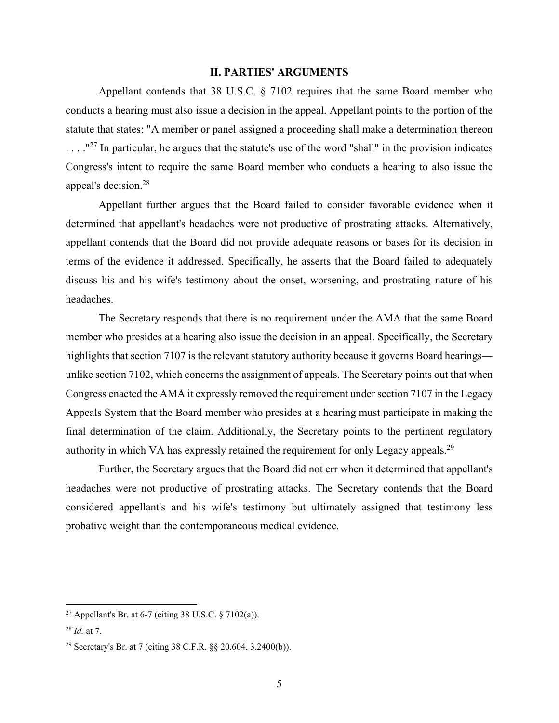#### **II. PARTIES' ARGUMENTS**

Appellant contends that 38 U.S.C. § 7102 requires that the same Board member who conducts a hearing must also issue a decision in the appeal. Appellant points to the portion of the statute that states: "A member or panel assigned a proceeding shall make a determination thereon  $\ldots$ ."<sup>27</sup> In particular, he argues that the statute's use of the word "shall" in the provision indicates Congress's intent to require the same Board member who conducts a hearing to also issue the appeal's decision.28

Appellant further argues that the Board failed to consider favorable evidence when it determined that appellant's headaches were not productive of prostrating attacks. Alternatively, appellant contends that the Board did not provide adequate reasons or bases for its decision in terms of the evidence it addressed. Specifically, he asserts that the Board failed to adequately discuss his and his wife's testimony about the onset, worsening, and prostrating nature of his headaches.

The Secretary responds that there is no requirement under the AMA that the same Board member who presides at a hearing also issue the decision in an appeal. Specifically, the Secretary highlights that section 7107 is the relevant statutory authority because it governs Board hearings unlike section 7102, which concerns the assignment of appeals. The Secretary points out that when Congress enacted the AMA it expressly removed the requirement under section 7107 in the Legacy Appeals System that the Board member who presides at a hearing must participate in making the final determination of the claim. Additionally, the Secretary points to the pertinent regulatory authority in which VA has expressly retained the requirement for only Legacy appeals.<sup>29</sup>

Further, the Secretary argues that the Board did not err when it determined that appellant's headaches were not productive of prostrating attacks. The Secretary contends that the Board considered appellant's and his wife's testimony but ultimately assigned that testimony less probative weight than the contemporaneous medical evidence.

<sup>&</sup>lt;sup>27</sup> Appellant's Br. at 6-7 (citing 38 U.S.C.  $\frac{$7102(a)]}{a}$ .

<sup>28</sup> *Id.* at 7.

<sup>29</sup> Secretary's Br. at 7 (citing 38 C.F.R. §§ 20.604, 3.2400(b)).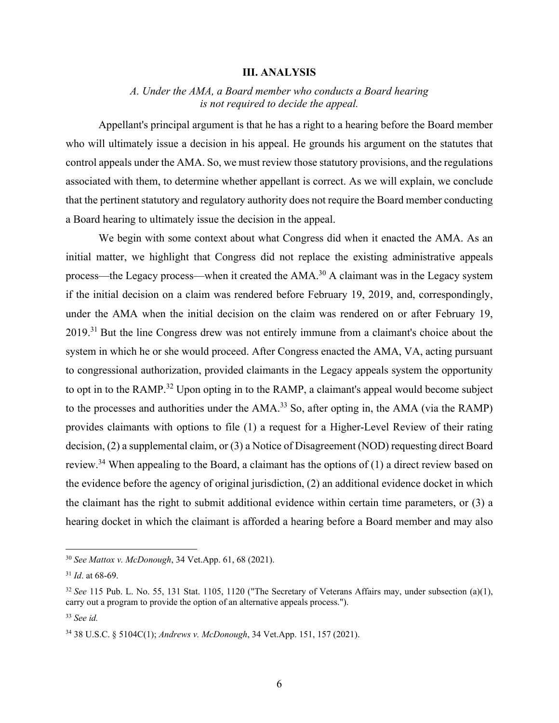#### **III. ANALYSIS**

# *A. Under the AMA, a Board member who conducts a Board hearing is not required to decide the appeal.*

Appellant's principal argument is that he has a right to a hearing before the Board member who will ultimately issue a decision in his appeal. He grounds his argument on the statutes that control appeals under the AMA. So, we must review those statutory provisions, and the regulations associated with them, to determine whether appellant is correct. As we will explain, we conclude that the pertinent statutory and regulatory authority does not require the Board member conducting a Board hearing to ultimately issue the decision in the appeal.

We begin with some context about what Congress did when it enacted the AMA. As an initial matter, we highlight that Congress did not replace the existing administrative appeals process—the Legacy process—when it created the AMA.<sup>30</sup> A claimant was in the Legacy system if the initial decision on a claim was rendered before February 19, 2019, and, correspondingly, under the AMA when the initial decision on the claim was rendered on or after February 19, 2019.31 But the line Congress drew was not entirely immune from a claimant's choice about the system in which he or she would proceed. After Congress enacted the AMA, VA, acting pursuant to congressional authorization, provided claimants in the Legacy appeals system the opportunity to opt in to the RAMP.32 Upon opting in to the RAMP, a claimant's appeal would become subject to the processes and authorities under the  $AMA$ <sup>33</sup> So, after opting in, the  $AMA$  (via the  $RAMP$ ) provides claimants with options to file (1) a request for a Higher-Level Review of their rating decision, (2) a supplemental claim, or (3) a Notice of Disagreement (NOD) requesting direct Board review.<sup>34</sup> When appealing to the Board, a claimant has the options of  $(1)$  a direct review based on the evidence before the agency of original jurisdiction, (2) an additional evidence docket in which the claimant has the right to submit additional evidence within certain time parameters, or (3) a hearing docket in which the claimant is afforded a hearing before a Board member and may also

<sup>30</sup> *See Mattox v. McDonough*, 34 Vet.App. 61, 68 (2021).

<sup>31</sup> *Id*. at 68-69.

<sup>32</sup> *See* 115 Pub. L. No. 55, 131 Stat. 1105, 1120 ("The Secretary of Veterans Affairs may, under subsection (a)(1), carry out a program to provide the option of an alternative appeals process.").

<sup>33</sup> *See id.*

<sup>34 38</sup> U.S.C. § 5104C(1); *Andrews v. McDonough*, 34 Vet.App. 151, 157 (2021).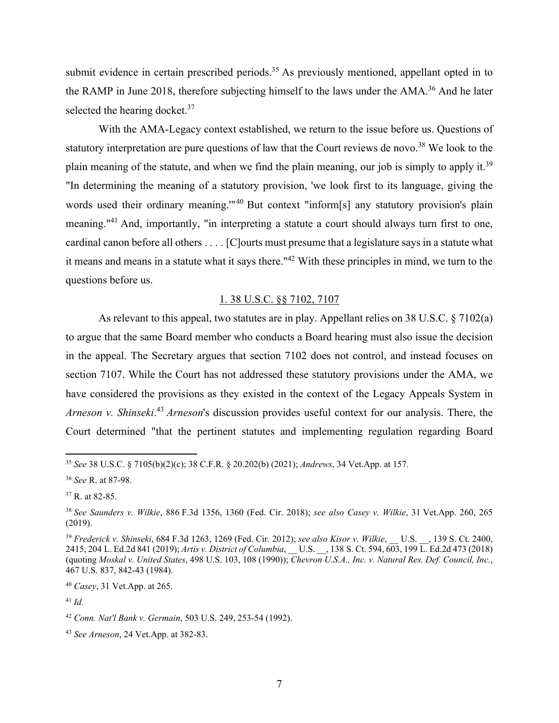submit evidence in certain prescribed periods.<sup>35</sup> As previously mentioned, appellant opted in to the RAMP in June 2018, therefore subjecting himself to the laws under the AMA.<sup>36</sup> And he later selected the hearing docket.<sup>37</sup>

With the AMA-Legacy context established, we return to the issue before us. Questions of statutory interpretation are pure questions of law that the Court reviews de novo.<sup>38</sup> We look to the plain meaning of the statute, and when we find the plain meaning, our job is simply to apply it.<sup>39</sup> "In determining the meaning of a statutory provision, 'we look first to its language, giving the words used their ordinary meaning."<sup>40</sup> But context "inform[s] any statutory provision's plain meaning."41 And, importantly, "in interpreting a statute a court should always turn first to one, cardinal canon before all others . . . . [C]ourts must presume that a legislature says in a statute what it means and means in a statute what it says there."42 With these principles in mind, we turn to the questions before us.

# 1. 38 U.S.C. §§ 7102, 7107

As relevant to this appeal, two statutes are in play. Appellant relies on 38 U.S.C. § 7102(a) to argue that the same Board member who conducts a Board hearing must also issue the decision in the appeal. The Secretary argues that section 7102 does not control, and instead focuses on section 7107. While the Court has not addressed these statutory provisions under the AMA, we have considered the provisions as they existed in the context of the Legacy Appeals System in Arneson v. Shinseki.<sup>43</sup> Arneson's discussion provides useful context for our analysis. There, the Court determined "that the pertinent statutes and implementing regulation regarding Board

<sup>35</sup> *See* 38 U.S.C. § 7105(b)(2)(c); 38 C.F.R. § 20.202(b) (2021); *Andrews*, 34 Vet.App. at 157.

<sup>36</sup> *See* R. at 87-98.

<sup>37</sup> R. at 82-85.

<sup>38</sup> *See Saunders v. Wilkie*, 886 F.3d 1356, 1360 (Fed. Cir. 2018); *see also Casey v. Wilkie*, 31 Vet.App. 260, 265 (2019).

<sup>39</sup> *Frederick v. Shinseki*, 684 F.3d 1263, 1269 (Fed. Cir. 2012); *see also Kisor v. Wilkie*, \_\_ U.S. \_\_, 139 S. Ct. 2400, 2415, 204 L. Ed.2d 841 (2019); *Artis v. District of Columbia*, U.S. , 138 S. Ct. 594, 603, 199 L. Ed.2d 473 (2018) (quoting *Moskal v. United States*, 498 U.S. 103, 108 (1990)); *Chevron U.S.A., Inc. v. Natural Res. Def. Council, Inc.*, 467 U.S. 837, 842-43 (1984).

<sup>40</sup> *Casey*, 31 Vet.App. at 265.

<sup>41</sup> *Id.*

<sup>42</sup> *Conn. Nat'l Bank v. Germain*, 503 U.S. 249, 253-54 (1992).

<sup>43</sup> *See Arneson*, 24 Vet.App. at 382-83.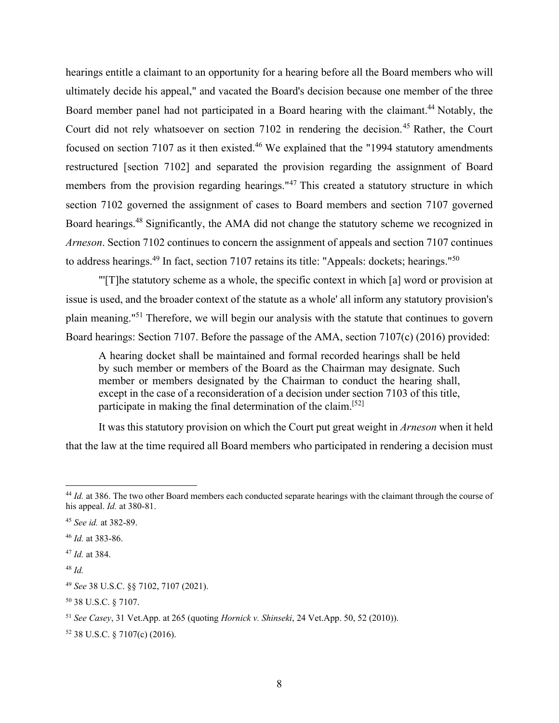hearings entitle a claimant to an opportunity for a hearing before all the Board members who will ultimately decide his appeal," and vacated the Board's decision because one member of the three Board member panel had not participated in a Board hearing with the claimant.<sup>44</sup> Notably, the Court did not rely whatsoever on section 7102 in rendering the decision.<sup>45</sup> Rather, the Court focused on section 7107 as it then existed.<sup>46</sup> We explained that the "1994 statutory amendments" restructured [section 7102] and separated the provision regarding the assignment of Board members from the provision regarding hearings."47 This created a statutory structure in which section 7102 governed the assignment of cases to Board members and section 7107 governed Board hearings.<sup>48</sup> Significantly, the AMA did not change the statutory scheme we recognized in *Arneson*. Section 7102 continues to concern the assignment of appeals and section 7107 continues to address hearings.<sup>49</sup> In fact, section 7107 retains its title: "Appeals: dockets; hearings."<sup>50</sup>

"'[T]he statutory scheme as a whole, the specific context in which [a] word or provision at issue is used, and the broader context of the statute as a whole' all inform any statutory provision's plain meaning."51 Therefore, we will begin our analysis with the statute that continues to govern Board hearings: Section 7107. Before the passage of the AMA, section 7107(c) (2016) provided:

A hearing docket shall be maintained and formal recorded hearings shall be held by such member or members of the Board as the Chairman may designate. Such member or members designated by the Chairman to conduct the hearing shall, except in the case of a reconsideration of a decision under section 7103 of this title, participate in making the final determination of the claim.[52]

It was this statutory provision on which the Court put great weight in *Arneson* when it held that the law at the time required all Board members who participated in rendering a decision must

<sup>&</sup>lt;sup>44</sup> *Id.* at 386. The two other Board members each conducted separate hearings with the claimant through the course of his appeal. *Id.* at 380-81.

<sup>45</sup> *See id.* at 382-89.

<sup>46</sup> *Id.* at 383-86.

<sup>47</sup> *Id.* at 384.

<sup>48</sup> *Id.*

<sup>49</sup> *See* 38 U.S.C. §§ 7102, 7107 (2021).

<sup>50 38</sup> U.S.C. § 7107.

<sup>51</sup> *See Casey*, 31 Vet.App. at 265 (quoting *Hornick v. Shinseki*, 24 Vet.App. 50, 52 (2010)).

<sup>52 38</sup> U.S.C. § 7107(c) (2016).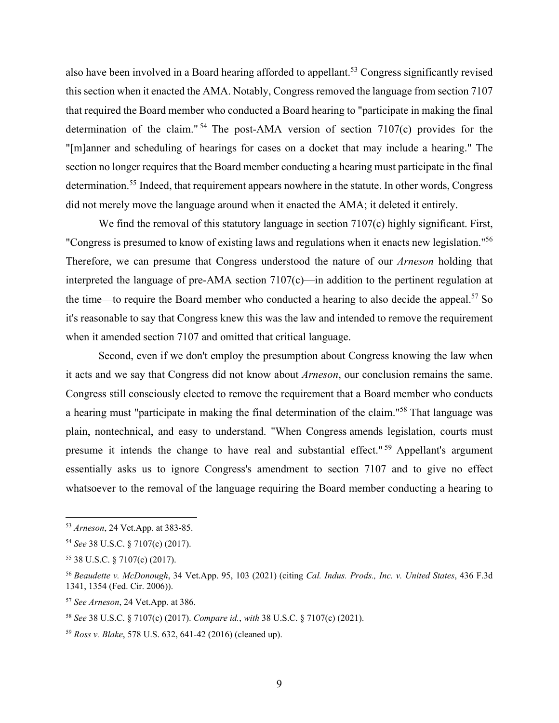also have been involved in a Board hearing afforded to appellant.<sup>53</sup> Congress significantly revised this section when it enacted the AMA. Notably, Congress removed the language from section 7107 that required the Board member who conducted a Board hearing to "participate in making the final determination of the claim." 54 The post-AMA version of section 7107(c) provides for the "[m]anner and scheduling of hearings for cases on a docket that may include a hearing." The section no longer requires that the Board member conducting a hearing must participate in the final determination.<sup>55</sup> Indeed, that requirement appears nowhere in the statute. In other words, Congress did not merely move the language around when it enacted the AMA; it deleted it entirely.

We find the removal of this statutory language in section 7107(c) highly significant. First, "Congress is presumed to know of existing laws and regulations when it enacts new legislation."56 Therefore, we can presume that Congress understood the nature of our *Arneson* holding that interpreted the language of pre-AMA section 7107(c)—in addition to the pertinent regulation at the time—to require the Board member who conducted a hearing to also decide the appeal.<sup>57</sup> So it's reasonable to say that Congress knew this was the law and intended to remove the requirement when it amended section 7107 and omitted that critical language.

Second, even if we don't employ the presumption about Congress knowing the law when it acts and we say that Congress did not know about *Arneson*, our conclusion remains the same. Congress still consciously elected to remove the requirement that a Board member who conducts a hearing must "participate in making the final determination of the claim."58 That language was plain, nontechnical, and easy to understand. "When Congress amends legislation, courts must presume it intends the change to have real and substantial effect." 59 Appellant's argument essentially asks us to ignore Congress's amendment to section 7107 and to give no effect whatsoever to the removal of the language requiring the Board member conducting a hearing to

<sup>53</sup> *Arneson*, 24 Vet.App. at 383-85.

<sup>54</sup> *See* 38 U.S.C. § 7107(c) (2017).

<sup>55 38</sup> U.S.C. § 7107(c) (2017).

<sup>56</sup> *Beaudette v. McDonough*, 34 Vet.App. 95, 103 (2021) (citing *Cal. Indus. Prods., Inc. v. United States*, 436 F.3d 1341, 1354 (Fed. Cir. 2006)).

<sup>57</sup> *See Arneson*, 24 Vet.App. at 386.

<sup>58</sup> *See* 38 U.S.C. § 7107(c) (2017). *Compare id.*, *with* 38 U.S.C. § 7107(c) (2021).

<sup>59</sup> *Ross v. Blake*, 578 U.S. 632, 641-42 (2016) (cleaned up).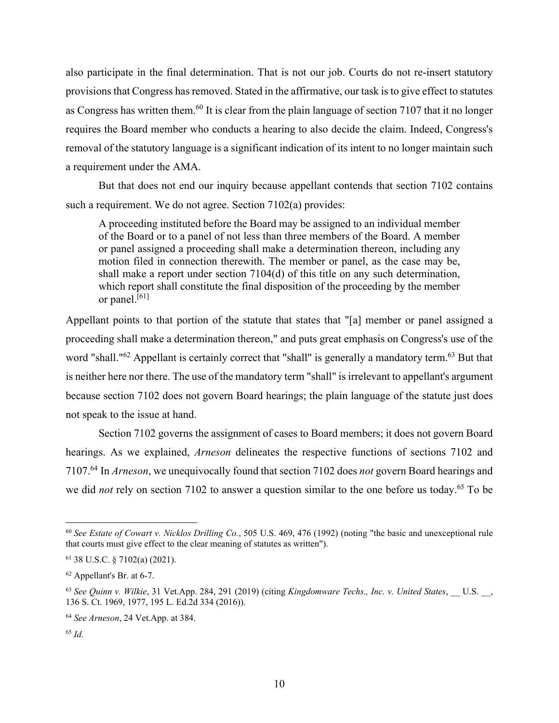also participate in the final determination. That is not our job. Courts do not re-insert statutory provisions that Congress has removed. Stated in the affirmative, our task is to give effect to statutes as Congress has written them.<sup>60</sup> It is clear from the plain language of section 7107 that it no longer requires the Board member who conducts a hearing to also decide the claim. Indeed, Congress's removal of the statutory language is a significant indication of its intent to no longer maintain such a requirement under the AMA.

But that does not end our inquiry because appellant contends that section 7102 contains such a requirement. We do not agree. Section 7102(a) provides:

A proceeding instituted before the Board may be assigned to an individual member of the Board or to a panel of not less than three members of the Board. A member or panel assigned a proceeding shall make a determination thereon, including any motion filed in connection therewith. The member or panel, as the case may be, shall make a report under section 7104(d) of this title on any such determination, which report shall constitute the final disposition of the proceeding by the member or panel. $[61]$ 

Appellant points to that portion of the statute that states that "[a] member or panel assigned a proceeding shall make a determination thereon," and puts great emphasis on Congress's use of the word "shall."<sup>62</sup> Appellant is certainly correct that "shall" is generally a mandatory term.<sup>63</sup> But that is neither here nor there. The use of the mandatory term "shall" is irrelevant to appellant's argument because section 7102 does not govern Board hearings; the plain language of the statute just does not speak to the issue at hand.

Section 7102 governs the assignment of cases to Board members; it does not govern Board hearings. As we explained, *Arneson* delineates the respective functions of sections 7102 and 7107.64 In *Arneson*, we unequivocally found that section 7102 does *not* govern Board hearings and we did *not* rely on section 7102 to answer a question similar to the one before us today.<sup>65</sup> To be

<sup>60</sup> *See Estate of Cowart v. Nicklos Drilling Co.*, 505 U.S. 469, 476 (1992) (noting "the basic and unexceptional rule that courts must give effect to the clear meaning of statutes as written").

<sup>61 38</sup> U.S.C. § 7102(a) (2021).

<sup>62</sup> Appellant's Br. at 6-7.

<sup>63</sup> *See Quinn v. Wilkie*, 31 Vet.App. 284, 291 (2019) (citing *Kingdomware Techs., Inc. v. United States*, \_\_ U.S. \_\_, 136 S. Ct. 1969, 1977, 195 L. Ed.2d 334 (2016)).

<sup>64</sup> *See Arneson*, 24 Vet.App. at 384.

<sup>65</sup> *Id.*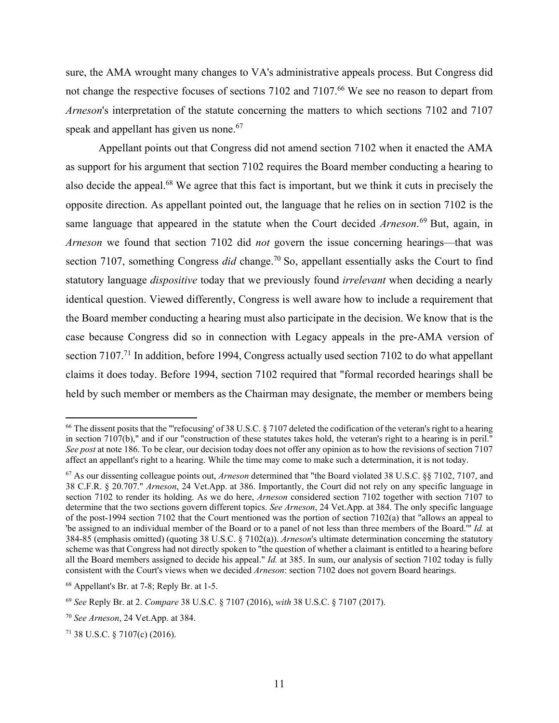sure, the AMA wrought many changes to VA's administrative appeals process. But Congress did not change the respective focuses of sections 7102 and 7107.<sup>66</sup> We see no reason to depart from *Arneson*'s interpretation of the statute concerning the matters to which sections 7102 and 7107 speak and appellant has given us none.<sup>67</sup>

Appellant points out that Congress did not amend section 7102 when it enacted the AMA as support for his argument that section 7102 requires the Board member conducting a hearing to also decide the appeal.<sup>68</sup> We agree that this fact is important, but we think it cuts in precisely the opposite direction. As appellant pointed out, the language that he relies on in section 7102 is the same language that appeared in the statute when the Court decided *Arneson*. 69 But, again, in *Arneson* we found that section 7102 did *not* govern the issue concerning hearings—that was section 7107, something Congress *did* change.<sup>70</sup> So, appellant essentially asks the Court to find statutory language *dispositive* today that we previously found *irrelevant* when deciding a nearly identical question. Viewed differently, Congress is well aware how to include a requirement that the Board member conducting a hearing must also participate in the decision. We know that is the case because Congress did so in connection with Legacy appeals in the pre-AMA version of section 7107.<sup>71</sup> In addition, before 1994, Congress actually used section 7102 to do what appellant claims it does today. Before 1994, section 7102 required that "formal recorded hearings shall be held by such member or members as the Chairman may designate, the member or members being

<sup>&</sup>lt;sup>66</sup> The dissent posits that the "'refocusing' of 38 U.S.C. § 7107 deleted the codification of the veteran's right to a hearing in section 7107(b)," and if our "construction of these statutes takes hold, the veteran's right to a hearing is in peril." *See post* at note 186. To be clear, our decision today does not offer any opinion as to how the revisions of section 7107 affect an appellant's right to a hearing. While the time may come to make such a determination, it is not today.

<sup>67</sup> As our dissenting colleague points out, *Arneson* determined that "the Board violated 38 U.S.C. §§ 7102, 7107, and 38 C.F.R. § 20.707." *Arneson*, 24 Vet.App. at 386. Importantly, the Court did not rely on any specific language in section 7102 to render its holding. As we do here, *Arneson* considered section 7102 together with section 7107 to determine that the two sections govern different topics. *See Arneson*, 24 Vet.App. at 384. The only specific language of the post-1994 section 7102 that the Court mentioned was the portion of section 7102(a) that "allows an appeal to 'be assigned to an individual member of the Board or to a panel of not less than three members of the Board.'" *Id.* at 384-85 (emphasis omitted) (quoting 38 U.S.C. § 7102(a)). *Arneson*'s ultimate determination concerning the statutory scheme was that Congress had not directly spoken to "the question of whether a claimant is entitled to a hearing before all the Board members assigned to decide his appeal." *Id.* at 385. In sum, our analysis of section 7102 today is fully consistent with the Court's views when we decided *Arneson*: section 7102 does not govern Board hearings.

<sup>68</sup> Appellant's Br. at 7-8; Reply Br. at 1-5.

<sup>69</sup> *See* Reply Br. at 2. *Compare* 38 U.S.C. § 7107 (2016), *with* 38 U.S.C. § 7107 (2017).

<sup>70</sup> *See Arneson*, 24 Vet.App. at 384.

<sup>71 38</sup> U.S.C. § 7107(c) (2016).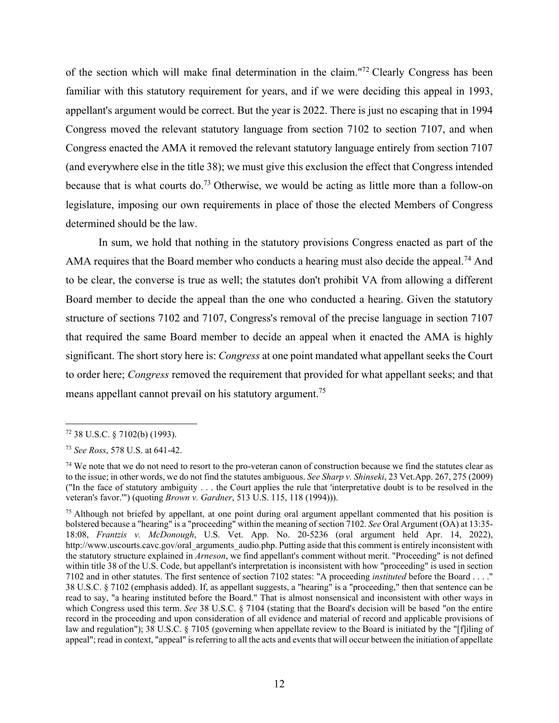of the section which will make final determination in the claim."72 Clearly Congress has been familiar with this statutory requirement for years, and if we were deciding this appeal in 1993, appellant's argument would be correct. But the year is 2022. There is just no escaping that in 1994 Congress moved the relevant statutory language from section 7102 to section 7107, and when Congress enacted the AMA it removed the relevant statutory language entirely from section 7107 (and everywhere else in the title 38); we must give this exclusion the effect that Congress intended because that is what courts do.<sup>73</sup> Otherwise, we would be acting as little more than a follow-on legislature, imposing our own requirements in place of those the elected Members of Congress determined should be the law.

In sum, we hold that nothing in the statutory provisions Congress enacted as part of the AMA requires that the Board member who conducts a hearing must also decide the appeal.<sup>74</sup> And to be clear, the converse is true as well; the statutes don't prohibit VA from allowing a different Board member to decide the appeal than the one who conducted a hearing. Given the statutory structure of sections 7102 and 7107, Congress's removal of the precise language in section 7107 that required the same Board member to decide an appeal when it enacted the AMA is highly significant. The short story here is: *Congress* at one point mandated what appellant seeks the Court to order here; *Congress* removed the requirement that provided for what appellant seeks; and that means appellant cannot prevail on his statutory argument.<sup>75</sup>

<sup>72 38</sup> U.S.C. § 7102(b) (1993).

<sup>73</sup> *See Ross*, 578 U.S. at 641-42.

<sup>&</sup>lt;sup>74</sup> We note that we do not need to resort to the pro-veteran canon of construction because we find the statutes clear as to the issue; in other words, we do not find the statutes ambiguous. *See Sharp v. Shinseki*, 23 Vet.App. 267, 275 (2009) ("In the face of statutory ambiguity . . . the Court applies the rule that 'interpretative doubt is to be resolved in the veteran's favor.'") (quoting *Brown v. Gardner*, 513 U.S. 115, 118 (1994))).

<sup>&</sup>lt;sup>75</sup> Although not briefed by appellant, at one point during oral argument appellant commented that his position is bolstered because a "hearing" is a "proceeding" within the meaning of section 7102. *See* Oral Argument (OA) at 13:35- 18:08, *Frantzis v. McDonough*, U.S. Vet. App. No. 20-5236 (oral argument held Apr. 14, 2022), http://www.uscourts.cavc.gov/oral\_arguments\_audio.php. Putting aside that this comment is entirely inconsistent with the statutory structure explained in *Arneson*, we find appellant's comment without merit. "Proceeding" is not defined within title 38 of the U.S. Code, but appellant's interpretation is inconsistent with how "proceeding" is used in section 7102 and in other statutes. The first sentence of section 7102 states: "A proceeding *instituted* before the Board . . . ." 38 U.S.C. § 7102 (emphasis added). If, as appellant suggests, a "hearing" is a "proceeding," then that sentence can be read to say, "a hearing instituted before the Board." That is almost nonsensical and inconsistent with other ways in which Congress used this term. *See* 38 U.S.C. § 7104 (stating that the Board's decision will be based "on the entire record in the proceeding and upon consideration of all evidence and material of record and applicable provisions of law and regulation"); 38 U.S.C. § 7105 (governing when appellate review to the Board is initiated by the "[f]iling of appeal"; read in context, "appeal" is referring to all the acts and events that will occur between the initiation of appellate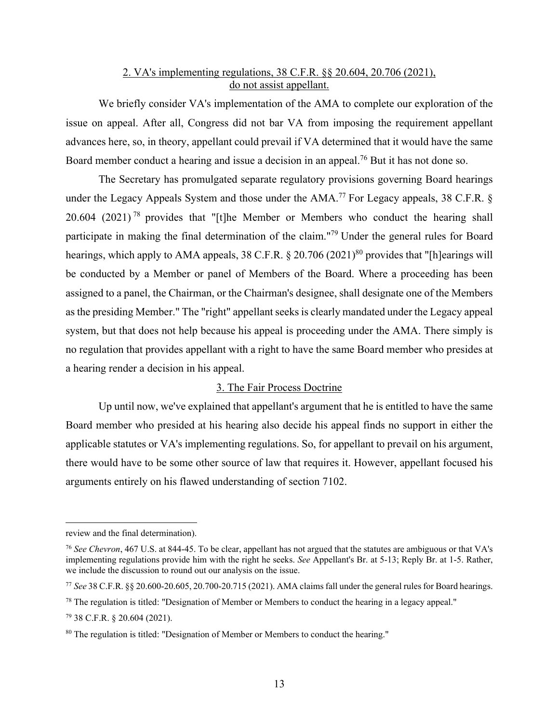# 2. VA's implementing regulations, 38 C.F.R. §§ 20.604, 20.706 (2021), do not assist appellant.

We briefly consider VA's implementation of the AMA to complete our exploration of the issue on appeal. After all, Congress did not bar VA from imposing the requirement appellant advances here, so, in theory, appellant could prevail if VA determined that it would have the same Board member conduct a hearing and issue a decision in an appeal.<sup>76</sup> But it has not done so.

The Secretary has promulgated separate regulatory provisions governing Board hearings under the Legacy Appeals System and those under the AMA.<sup>77</sup> For Legacy appeals, 38 C.F.R. § 20.604 (2021)<sup>78</sup> provides that "[t]he Member or Members who conduct the hearing shall participate in making the final determination of the claim."79 Under the general rules for Board hearings, which apply to AMA appeals, 38 C.F.R.  $\S 20.706 (2021)^{80}$  provides that "[h]earings will be conducted by a Member or panel of Members of the Board. Where a proceeding has been assigned to a panel, the Chairman, or the Chairman's designee, shall designate one of the Members as the presiding Member." The "right" appellant seeks is clearly mandated under the Legacy appeal system, but that does not help because his appeal is proceeding under the AMA. There simply is no regulation that provides appellant with a right to have the same Board member who presides at a hearing render a decision in his appeal.

# 3. The Fair Process Doctrine

Up until now, we've explained that appellant's argument that he is entitled to have the same Board member who presided at his hearing also decide his appeal finds no support in either the applicable statutes or VA's implementing regulations. So, for appellant to prevail on his argument, there would have to be some other source of law that requires it. However, appellant focused his arguments entirely on his flawed understanding of section 7102.

review and the final determination).

<sup>76</sup> *See Chevron*, 467 U.S. at 844-45. To be clear, appellant has not argued that the statutes are ambiguous or that VA's implementing regulations provide him with the right he seeks. *See* Appellant's Br. at 5-13; Reply Br. at 1-5. Rather, we include the discussion to round out our analysis on the issue.

<sup>77</sup> *See* 38 C.F.R. §§ 20.600-20.605, 20.700-20.715 (2021). AMA claims fall under the general rules for Board hearings.

 $78$  The regulation is titled: "Designation of Member or Members to conduct the hearing in a legacy appeal."

<sup>79 38</sup> C.F.R. § 20.604 (2021).

<sup>80</sup> The regulation is titled: "Designation of Member or Members to conduct the hearing."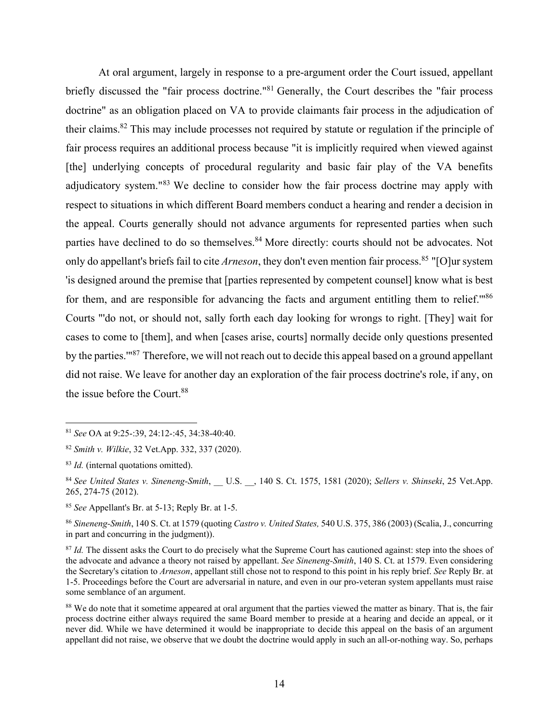At oral argument, largely in response to a pre-argument order the Court issued, appellant briefly discussed the "fair process doctrine."<sup>81</sup> Generally, the Court describes the "fair process doctrine" as an obligation placed on VA to provide claimants fair process in the adjudication of their claims.82 This may include processes not required by statute or regulation if the principle of fair process requires an additional process because "it is implicitly required when viewed against [the] underlying concepts of procedural regularity and basic fair play of the VA benefits adjudicatory system."83 We decline to consider how the fair process doctrine may apply with respect to situations in which different Board members conduct a hearing and render a decision in the appeal. Courts generally should not advance arguments for represented parties when such parties have declined to do so themselves.<sup>84</sup> More directly: courts should not be advocates. Not only do appellant's briefs fail to cite *Arneson*, they don't even mention fair process.<sup>85</sup> "[O]ur system 'is designed around the premise that [parties represented by competent counsel] know what is best for them, and are responsible for advancing the facts and argument entitling them to relief."<sup>86</sup> Courts "'do not, or should not, sally forth each day looking for wrongs to right. [They] wait for cases to come to [them], and when [cases arise, courts] normally decide only questions presented by the parties.'"87 Therefore, we will not reach out to decide this appeal based on a ground appellant did not raise. We leave for another day an exploration of the fair process doctrine's role, if any, on the issue before the Court.88

<sup>81</sup> *See* OA at 9:25-:39, 24:12-:45, 34:38-40:40.

<sup>82</sup> *Smith v. Wilkie*, 32 Vet.App. 332, 337 (2020).

<sup>83</sup> *Id.* (internal quotations omitted).

<sup>&</sup>lt;sup>84</sup> See United States v. Sineneng-Smith, U.S. , 140 S. Ct. 1575, 1581 (2020); *Sellers v. Shinseki*, 25 Vet.App. 265, 274-75 (2012).

<sup>85</sup> *See* Appellant's Br. at 5-13; Reply Br. at 1-5.

<sup>86</sup> *Sineneng-Smith*, 140 S. Ct. at 1579 (quoting *Castro v. United States,* 540 U.S. 375, 386 (2003) (Scalia, J., concurring in part and concurring in the judgment)).

<sup>&</sup>lt;sup>87</sup> *Id.* The dissent asks the Court to do precisely what the Supreme Court has cautioned against: step into the shoes of the advocate and advance a theory not raised by appellant. *See Sineneng-Smith*, 140 S. Ct. at 1579. Even considering the Secretary's citation to *Arneson*, appellant still chose not to respond to this point in his reply brief. *See* Reply Br. at 1-5. Proceedings before the Court are adversarial in nature, and even in our pro-veteran system appellants must raise some semblance of an argument.

<sup>&</sup>lt;sup>88</sup> We do note that it sometime appeared at oral argument that the parties viewed the matter as binary. That is, the fair process doctrine either always required the same Board member to preside at a hearing and decide an appeal, or it never did. While we have determined it would be inappropriate to decide this appeal on the basis of an argument appellant did not raise, we observe that we doubt the doctrine would apply in such an all-or-nothing way. So, perhaps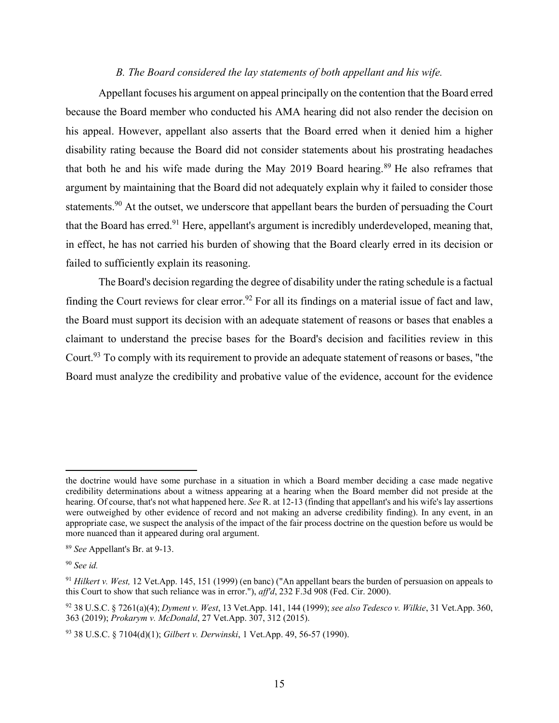### *B. The Board considered the lay statements of both appellant and his wife.*

Appellant focuses his argument on appeal principally on the contention that the Board erred because the Board member who conducted his AMA hearing did not also render the decision on his appeal. However, appellant also asserts that the Board erred when it denied him a higher disability rating because the Board did not consider statements about his prostrating headaches that both he and his wife made during the May 2019 Board hearing.<sup>89</sup> He also reframes that argument by maintaining that the Board did not adequately explain why it failed to consider those statements.<sup>90</sup> At the outset, we underscore that appellant bears the burden of persuading the Court that the Board has erred.<sup>91</sup> Here, appellant's argument is incredibly underdeveloped, meaning that, in effect, he has not carried his burden of showing that the Board clearly erred in its decision or failed to sufficiently explain its reasoning.

The Board's decision regarding the degree of disability under the rating schedule is a factual finding the Court reviews for clear error.<sup>92</sup> For all its findings on a material issue of fact and law, the Board must support its decision with an adequate statement of reasons or bases that enables a claimant to understand the precise bases for the Board's decision and facilities review in this Court.<sup>93</sup> To comply with its requirement to provide an adequate statement of reasons or bases, "the Board must analyze the credibility and probative value of the evidence, account for the evidence

the doctrine would have some purchase in a situation in which a Board member deciding a case made negative credibility determinations about a witness appearing at a hearing when the Board member did not preside at the hearing. Of course, that's not what happened here. *See* R. at 12-13 (finding that appellant's and his wife's lay assertions were outweighed by other evidence of record and not making an adverse credibility finding). In any event, in an appropriate case, we suspect the analysis of the impact of the fair process doctrine on the question before us would be more nuanced than it appeared during oral argument.

<sup>89</sup> *See* Appellant's Br. at 9-13.

<sup>90</sup> *See id.*

<sup>91</sup> *Hilkert v. West,* 12 Vet.App. 145, 151 (1999) (en banc) ("An appellant bears the burden of persuasion on appeals to this Court to show that such reliance was in error."), *aff'd*, 232 F.3d 908 (Fed. Cir. 2000).

<sup>92 38</sup> U.S.C. § 7261(a)(4); *Dyment v. West*, 13 Vet.App. 141, 144 (1999); *see also Tedesco v. Wilkie*, 31 Vet.App. 360, 363 (2019); *Prokarym v. McDonald*, 27 Vet.App. 307, 312 (2015).

<sup>93 38</sup> U.S.C. § 7104(d)(1); *Gilbert v. Derwinski*, 1 Vet.App. 49, 56-57 (1990).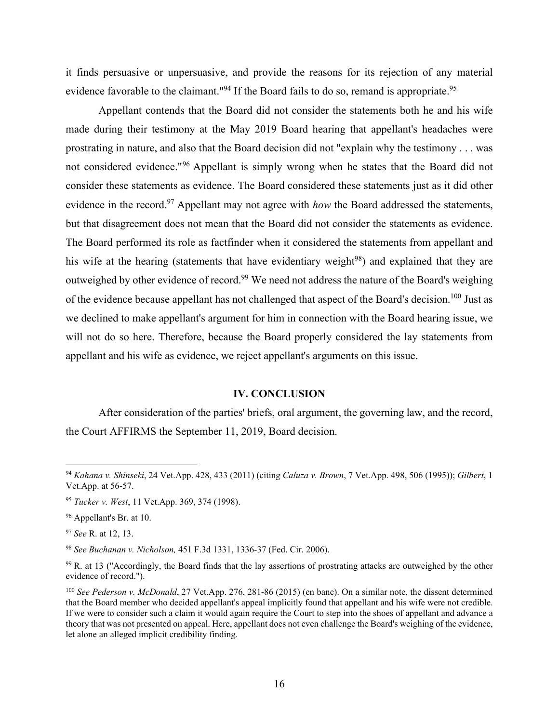it finds persuasive or unpersuasive, and provide the reasons for its rejection of any material evidence favorable to the claimant."<sup>94</sup> If the Board fails to do so, remand is appropriate.<sup>95</sup>

Appellant contends that the Board did not consider the statements both he and his wife made during their testimony at the May 2019 Board hearing that appellant's headaches were prostrating in nature, and also that the Board decision did not "explain why the testimony . . . was not considered evidence."<sup>96</sup> Appellant is simply wrong when he states that the Board did not consider these statements as evidence. The Board considered these statements just as it did other evidence in the record.<sup>97</sup> Appellant may not agree with *how* the Board addressed the statements, but that disagreement does not mean that the Board did not consider the statements as evidence. The Board performed its role as factfinder when it considered the statements from appellant and his wife at the hearing (statements that have evidentiary weight<sup>98</sup>) and explained that they are outweighed by other evidence of record.<sup>99</sup> We need not address the nature of the Board's weighing of the evidence because appellant has not challenged that aspect of the Board's decision.100 Just as we declined to make appellant's argument for him in connection with the Board hearing issue, we will not do so here. Therefore, because the Board properly considered the lay statements from appellant and his wife as evidence, we reject appellant's arguments on this issue.

#### **IV. CONCLUSION**

After consideration of the parties' briefs, oral argument, the governing law, and the record, the Court AFFIRMS the September 11, 2019, Board decision.

<sup>97</sup> *See* R. at 12, 13.

<sup>98</sup> *See Buchanan v. Nicholson,* 451 F.3d 1331, 1336-37 (Fed. Cir. 2006).

<sup>94</sup> *Kahana v. Shinseki*, 24 Vet.App. 428, 433 (2011) (citing *Caluza v. Brown*, 7 Vet.App. 498, 506 (1995)); *Gilbert*, 1 Vet.App. at 56-57.

<sup>95</sup> *Tucker v. West*, 11 Vet.App. 369, 374 (1998).

<sup>96</sup> Appellant's Br. at 10.

<sup>99</sup> R. at 13 ("Accordingly, the Board finds that the lay assertions of prostrating attacks are outweighed by the other evidence of record.").

<sup>100</sup> *See Pederson v. McDonald*, 27 Vet.App. 276, 281-86 (2015) (en banc). On a similar note, the dissent determined that the Board member who decided appellant's appeal implicitly found that appellant and his wife were not credible. If we were to consider such a claim it would again require the Court to step into the shoes of appellant and advance a theory that was not presented on appeal. Here, appellant does not even challenge the Board's weighing of the evidence, let alone an alleged implicit credibility finding.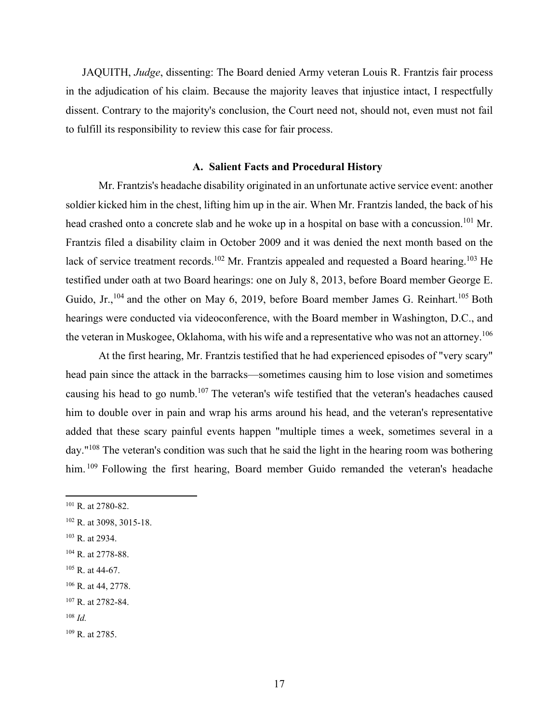JAQUITH, *Judge*, dissenting: The Board denied Army veteran Louis R. Frantzis fair process in the adjudication of his claim. Because the majority leaves that injustice intact, I respectfully dissent. Contrary to the majority's conclusion, the Court need not, should not, even must not fail to fulfill its responsibility to review this case for fair process.

# **A. Salient Facts and Procedural History**

 Mr. Frantzis's headache disability originated in an unfortunate active service event: another soldier kicked him in the chest, lifting him up in the air. When Mr. Frantzis landed, the back of his head crashed onto a concrete slab and he woke up in a hospital on base with a concussion.<sup>101</sup> Mr. Frantzis filed a disability claim in October 2009 and it was denied the next month based on the lack of service treatment records.<sup>102</sup> Mr. Frantzis appealed and requested a Board hearing.<sup>103</sup> He testified under oath at two Board hearings: one on July 8, 2013, before Board member George E. Guido, Jr.,<sup>104</sup> and the other on May 6, 2019, before Board member James G. Reinhart.<sup>105</sup> Both hearings were conducted via videoconference, with the Board member in Washington, D.C., and the veteran in Muskogee, Oklahoma, with his wife and a representative who was not an attorney.<sup>106</sup>

At the first hearing, Mr. Frantzis testified that he had experienced episodes of "very scary" head pain since the attack in the barracks—sometimes causing him to lose vision and sometimes causing his head to go numb.107 The veteran's wife testified that the veteran's headaches caused him to double over in pain and wrap his arms around his head, and the veteran's representative added that these scary painful events happen "multiple times a week, sometimes several in a day."108 The veteran's condition was such that he said the light in the hearing room was bothering him. <sup>109</sup> Following the first hearing, Board member Guido remanded the veteran's headache

- 103 R. at 2934.
- 104 R. at 2778-88.
- $105$  R. at 44-67.

<sup>108</sup> *Id.*

<sup>101</sup> R. at 2780-82.

<sup>102</sup> R. at 3098, 3015-18.

<sup>106</sup> R. at 44, 2778.

<sup>107</sup> R. at 2782-84.

<sup>109</sup> R. at 2785.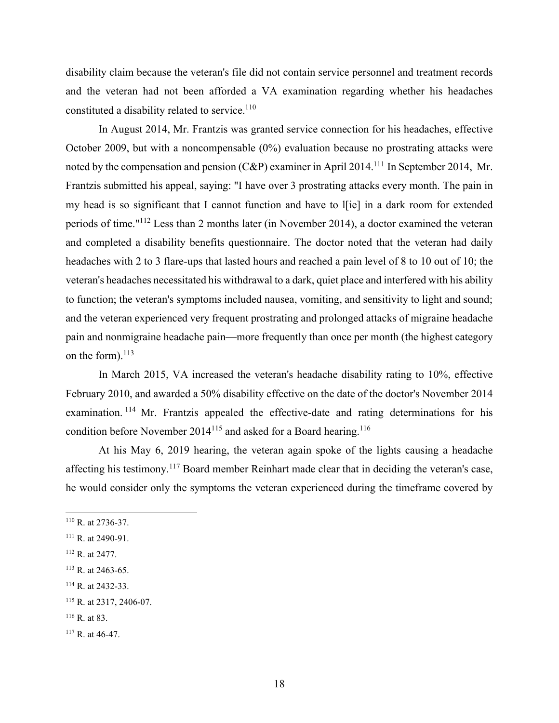disability claim because the veteran's file did not contain service personnel and treatment records and the veteran had not been afforded a VA examination regarding whether his headaches constituted a disability related to service.<sup>110</sup>

 In August 2014, Mr. Frantzis was granted service connection for his headaches, effective October 2009, but with a noncompensable (0%) evaluation because no prostrating attacks were noted by the compensation and pension  $(C&P)$  examiner in April 2014.<sup>111</sup> In September 2014, Mr. Frantzis submitted his appeal, saying: "I have over 3 prostrating attacks every month. The pain in my head is so significant that I cannot function and have to l[ie] in a dark room for extended periods of time."112 Less than 2 months later (in November 2014), a doctor examined the veteran and completed a disability benefits questionnaire. The doctor noted that the veteran had daily headaches with 2 to 3 flare-ups that lasted hours and reached a pain level of 8 to 10 out of 10; the veteran's headaches necessitated his withdrawal to a dark, quiet place and interfered with his ability to function; the veteran's symptoms included nausea, vomiting, and sensitivity to light and sound; and the veteran experienced very frequent prostrating and prolonged attacks of migraine headache pain and nonmigraine headache pain—more frequently than once per month (the highest category on the form). $^{113}$ 

 In March 2015, VA increased the veteran's headache disability rating to 10%, effective February 2010, and awarded a 50% disability effective on the date of the doctor's November 2014 examination. 114 Mr. Frantzis appealed the effective-date and rating determinations for his condition before November 2014<sup>115</sup> and asked for a Board hearing.<sup>116</sup>

 At his May 6, 2019 hearing, the veteran again spoke of the lights causing a headache affecting his testimony.117 Board member Reinhart made clear that in deciding the veteran's case, he would consider only the symptoms the veteran experienced during the timeframe covered by

<sup>110</sup> R. at 2736-37.

<sup>&</sup>lt;sup>111</sup> R. at 2490-91.

<sup>112</sup> R. at 2477.

 $113$  R. at 2463-65.

<sup>114</sup> R. at 2432-33.

<sup>115</sup> R. at 2317, 2406-07.

 $116$  R. at 83.

<sup>117</sup> R. at 46-47.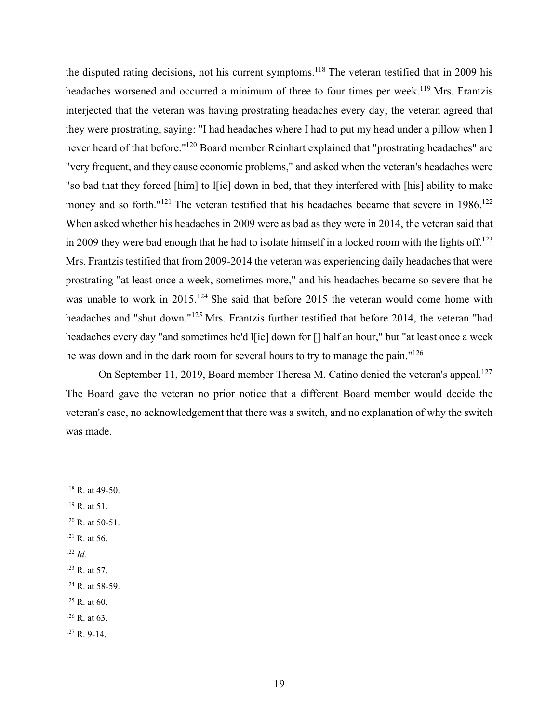the disputed rating decisions, not his current symptoms.<sup>118</sup> The veteran testified that in 2009 his headaches worsened and occurred a minimum of three to four times per week.<sup>119</sup> Mrs. Frantzis interjected that the veteran was having prostrating headaches every day; the veteran agreed that they were prostrating, saying: "I had headaches where I had to put my head under a pillow when I never heard of that before."120 Board member Reinhart explained that "prostrating headaches" are "very frequent, and they cause economic problems," and asked when the veteran's headaches were "so bad that they forced [him] to l[ie] down in bed, that they interfered with [his] ability to make money and so forth." $121$  The veteran testified that his headaches became that severe in 1986.<sup>122</sup> When asked whether his headaches in 2009 were as bad as they were in 2014, the veteran said that in 2009 they were bad enough that he had to isolate himself in a locked room with the lights off.<sup>123</sup> Mrs. Frantzis testified that from 2009-2014 the veteran was experiencing daily headaches that were prostrating "at least once a week, sometimes more," and his headaches became so severe that he was unable to work in 2015.<sup>124</sup> She said that before 2015 the veteran would come home with headaches and "shut down."125 Mrs. Frantzis further testified that before 2014, the veteran "had headaches every day "and sometimes he'd l[ie] down for [] half an hour," but "at least once a week he was down and in the dark room for several hours to try to manage the pain."126

On September 11, 2019, Board member Theresa M. Catino denied the veteran's appeal.<sup>127</sup> The Board gave the veteran no prior notice that a different Board member would decide the veteran's case, no acknowledgement that there was a switch, and no explanation of why the switch was made.

- 118 R. at 49-50.
- $119$  R. at 51.
- 120 R. at 50-51.
- 121 R. at 56.
- <sup>122</sup> *Id.*
- $123$  R. at 57.

125 R. at 60.

127 R. 9-14.

<sup>124</sup> R. at 58-59.

<sup>126</sup> R. at 63.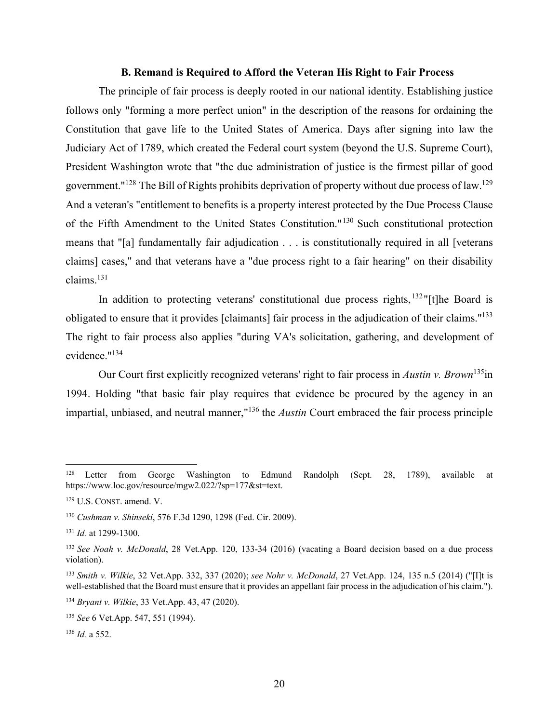#### **B. Remand is Required to Afford the Veteran His Right to Fair Process**

The principle of fair process is deeply rooted in our national identity. Establishing justice follows only "forming a more perfect union" in the description of the reasons for ordaining the Constitution that gave life to the United States of America. Days after signing into law the Judiciary Act of 1789, which created the Federal court system (beyond the U.S. Supreme Court), President Washington wrote that "the due administration of justice is the firmest pillar of good government."<sup>128</sup> The Bill of Rights prohibits deprivation of property without due process of law.<sup>129</sup> And a veteran's "entitlement to benefits is a property interest protected by the Due Process Clause of the Fifth Amendment to the United States Constitution."130 Such constitutional protection means that "[a] fundamentally fair adjudication . . . is constitutionally required in all [veterans claims] cases," and that veterans have a "due process right to a fair hearing" on their disability claims.131

In addition to protecting veterans' constitutional due process rights, $132$ "[t]he Board is obligated to ensure that it provides [claimants] fair process in the adjudication of their claims."133 The right to fair process also applies "during VA's solicitation, gathering, and development of evidence."134

Our Court first explicitly recognized veterans' right to fair process in *Austin v. Brown*135in 1994. Holding "that basic fair play requires that evidence be procured by the agency in an impartial, unbiased, and neutral manner,"136 the *Austin* Court embraced the fair process principle

<sup>&</sup>lt;sup>128</sup> Letter from George Washington to Edmund Randolph (Sept. 28, 1789), available at https://www.loc.gov/resource/mgw2.022/?sp=177&st=text.

<sup>129</sup> U.S. CONST. amend. V.

<sup>130</sup> *Cushman v. Shinseki*, 576 F.3d 1290, 1298 (Fed. Cir. 2009).

<sup>131</sup> *Id.* at 1299-1300.

<sup>132</sup> *See Noah v. McDonald*, 28 Vet.App. 120, 133-34 (2016) (vacating a Board decision based on a due process violation).

<sup>133</sup> *Smith v. Wilkie*, 32 Vet.App. 332, 337 (2020); *see Nohr v. McDonald*, 27 Vet.App. 124, 135 n.5 (2014) ("[I]t is well-established that the Board must ensure that it provides an appellant fair process in the adjudication of his claim.").

<sup>134</sup> *Bryant v. Wilkie*, 33 Vet.App. 43, 47 (2020).

<sup>135</sup> *See* 6 Vet.App. 547, 551 (1994).

<sup>136</sup> *Id.* a 552.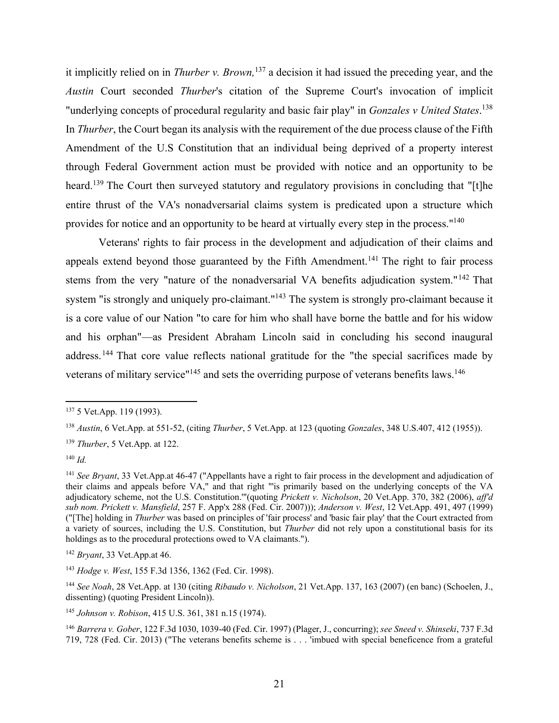it implicitly relied on in *Thurber v. Brown,*137 a decision it had issued the preceding year, and the *Austin* Court seconded *Thurber*'s citation of the Supreme Court's invocation of implicit "underlying concepts of procedural regularity and basic fair play" in *Gonzales v United States*. 138 In *Thurber*, the Court began its analysis with the requirement of the due process clause of the Fifth Amendment of the U.S Constitution that an individual being deprived of a property interest through Federal Government action must be provided with notice and an opportunity to be heard.<sup>139</sup> The Court then surveyed statutory and regulatory provisions in concluding that "[t]he entire thrust of the VA's nonadversarial claims system is predicated upon a structure which provides for notice and an opportunity to be heard at virtually every step in the process."140

Veterans' rights to fair process in the development and adjudication of their claims and appeals extend beyond those guaranteed by the Fifth Amendment.<sup>141</sup> The right to fair process stems from the very "nature of the nonadversarial VA benefits adjudication system."142 That system "is strongly and uniquely pro-claimant."<sup>143</sup> The system is strongly pro-claimant because it is a core value of our Nation "to care for him who shall have borne the battle and for his widow and his orphan"—as President Abraham Lincoln said in concluding his second inaugural address.<sup>144</sup> That core value reflects national gratitude for the "the special sacrifices made by veterans of military service"<sup>145</sup> and sets the overriding purpose of veterans benefits laws.<sup>146</sup>

<sup>139</sup> *Thurber*, 5 Vet.App. at 122.

<sup>140</sup> *Id.*

<sup>137 5</sup> Vet.App. 119 (1993).

<sup>138</sup> *Austin*, 6 Vet.App. at 551-52, (citing *Thurber*, 5 Vet.App. at 123 (quoting *Gonzales*, 348 U.S.407, 412 (1955)).

<sup>141</sup> *See Bryant*, 33 Vet.App.at 46-47 ("Appellants have a right to fair process in the development and adjudication of their claims and appeals before VA," and that right "'is primarily based on the underlying concepts of the VA adjudicatory scheme, not the U.S. Constitution.'"(quoting *Prickett v. Nicholson*, 20 Vet.App. 370, 382 (2006), *aff'd sub nom. Prickett v. Mansfield*, 257 F. App'x 288 (Fed. Cir. 2007))); *Anderson v. West*, 12 Vet.App. 491, 497 (1999) ("[The] holding in *Thurber* was based on principles of 'fair process' and 'basic fair play' that the Court extracted from a variety of sources, including the U.S. Constitution, but *Thurber* did not rely upon a constitutional basis for its holdings as to the procedural protections owed to VA claimants.").

<sup>142</sup> *Bryant*, 33 Vet.App.at 46.

<sup>143</sup> *Hodge v. West*, 155 F.3d 1356, 1362 (Fed. Cir. 1998).

<sup>144</sup> *See Noah*, 28 Vet.App. at 130 (citing *Ribaudo v. Nicholson*, 21 Vet.App. 137, 163 (2007) (en banc) (Schoelen, J., dissenting) (quoting President Lincoln)).

<sup>145</sup> *Johnson v. Robison*, 415 U.S. 361, 381 n.15 (1974).

<sup>146</sup> *Barrera v. Gober*, 122 F.3d 1030, 1039-40 (Fed. Cir. 1997) (Plager, J., concurring); *see Sneed v. Shinseki*, 737 F.3d 719, 728 (Fed. Cir. 2013) ("The veterans benefits scheme is . . . 'imbued with special beneficence from a grateful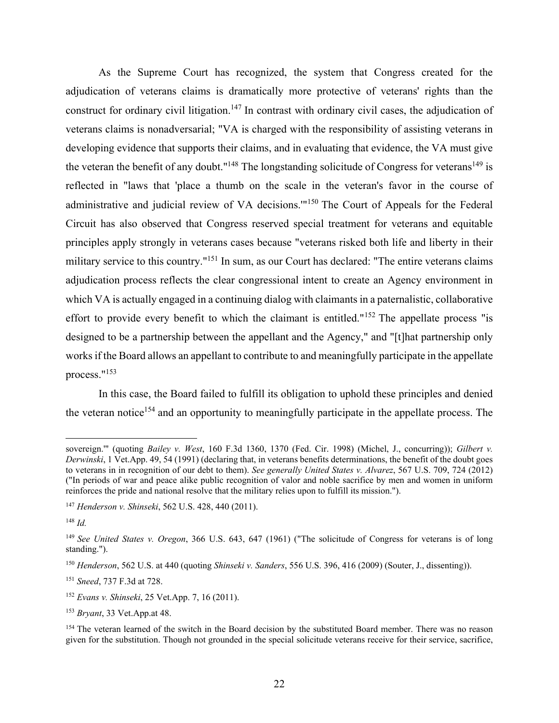As the Supreme Court has recognized, the system that Congress created for the adjudication of veterans claims is dramatically more protective of veterans' rights than the construct for ordinary civil litigation.<sup>147</sup> In contrast with ordinary civil cases, the adjudication of veterans claims is nonadversarial; "VA is charged with the responsibility of assisting veterans in developing evidence that supports their claims, and in evaluating that evidence, the VA must give the veteran the benefit of any doubt."<sup>148</sup> The longstanding solicitude of Congress for veterans<sup>149</sup> is reflected in "laws that 'place a thumb on the scale in the veteran's favor in the course of administrative and judicial review of VA decisions."<sup>150</sup> The Court of Appeals for the Federal Circuit has also observed that Congress reserved special treatment for veterans and equitable principles apply strongly in veterans cases because "veterans risked both life and liberty in their military service to this country."151 In sum, as our Court has declared: "The entire veterans claims adjudication process reflects the clear congressional intent to create an Agency environment in which VA is actually engaged in a continuing dialog with claimants in a paternalistic, collaborative effort to provide every benefit to which the claimant is entitled."<sup>152</sup> The appellate process "is designed to be a partnership between the appellant and the Agency," and "[t]hat partnership only works if the Board allows an appellant to contribute to and meaningfully participate in the appellate process."153

 In this case, the Board failed to fulfill its obligation to uphold these principles and denied the veteran notice<sup>154</sup> and an opportunity to meaningfully participate in the appellate process. The

sovereign.'" (quoting *Bailey v. West*, 160 F.3d 1360, 1370 (Fed. Cir. 1998) (Michel, J., concurring)); *Gilbert v. Derwinski*, 1 Vet.App. 49, 54 (1991) (declaring that, in veterans benefits determinations, the benefit of the doubt goes to veterans in in recognition of our debt to them). *See generally United States v. Alvarez*, 567 U.S. 709, 724 (2012) ("In periods of war and peace alike public recognition of valor and noble sacrifice by men and women in uniform reinforces the pride and national resolve that the military relies upon to fulfill its mission.").

<sup>147</sup> *Henderson v. Shinseki*, 562 U.S. 428, 440 (2011).

<sup>148</sup> *Id.*

<sup>149</sup> *See United States v. Oregon*, 366 U.S. 643, 647 (1961) ("The solicitude of Congress for veterans is of long standing.").

<sup>150</sup> *Henderson*, 562 U.S. at 440 (quoting *Shinseki v. Sanders*, 556 U.S. 396, 416 (2009) (Souter, J., dissenting)).

<sup>151</sup> *Sneed*, 737 F.3d at 728.

<sup>152</sup> *Evans v. Shinseki*, 25 Vet.App. 7, 16 (2011).

<sup>153</sup> *Bryant*, 33 Vet.App.at 48.

<sup>&</sup>lt;sup>154</sup> The veteran learned of the switch in the Board decision by the substituted Board member. There was no reason given for the substitution. Though not grounded in the special solicitude veterans receive for their service, sacrifice,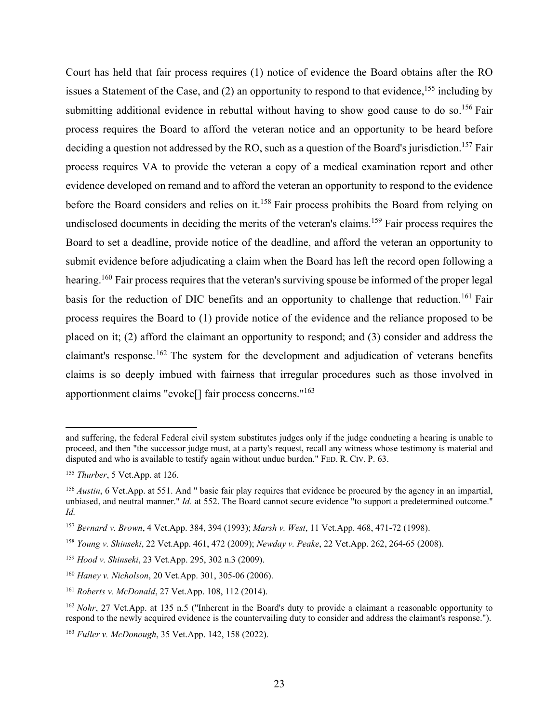Court has held that fair process requires (1) notice of evidence the Board obtains after the RO issues a Statement of the Case, and (2) an opportunity to respond to that evidence,  $^{155}$  including by submitting additional evidence in rebuttal without having to show good cause to do so.<sup>156</sup> Fair process requires the Board to afford the veteran notice and an opportunity to be heard before deciding a question not addressed by the RO, such as a question of the Board's jurisdiction.<sup>157</sup> Fair process requires VA to provide the veteran a copy of a medical examination report and other evidence developed on remand and to afford the veteran an opportunity to respond to the evidence before the Board considers and relies on it.<sup>158</sup> Fair process prohibits the Board from relying on undisclosed documents in deciding the merits of the veteran's claims.<sup>159</sup> Fair process requires the Board to set a deadline, provide notice of the deadline, and afford the veteran an opportunity to submit evidence before adjudicating a claim when the Board has left the record open following a hearing.<sup>160</sup> Fair process requires that the veteran's surviving spouse be informed of the proper legal basis for the reduction of DIC benefits and an opportunity to challenge that reduction.<sup>161</sup> Fair process requires the Board to (1) provide notice of the evidence and the reliance proposed to be placed on it; (2) afford the claimant an opportunity to respond; and (3) consider and address the claimant's response.162 The system for the development and adjudication of veterans benefits claims is so deeply imbued with fairness that irregular procedures such as those involved in apportionment claims "evoke[] fair process concerns."163

and suffering, the federal Federal civil system substitutes judges only if the judge conducting a hearing is unable to proceed, and then "the successor judge must, at a party's request, recall any witness whose testimony is material and disputed and who is available to testify again without undue burden." FED. R. CIV. P. 63.

<sup>155</sup> *Thurber*, 5 Vet.App. at 126.

<sup>156</sup> *Austin*, 6 Vet.App. at 551. And " basic fair play requires that evidence be procured by the agency in an impartial, unbiased, and neutral manner." *Id.* at 552. The Board cannot secure evidence "to support a predetermined outcome." *Id.*

<sup>157</sup> *Bernard v. Brown*, 4 Vet.App. 384, 394 (1993); *Marsh v. West*, 11 Vet.App. 468, 471-72 (1998).

<sup>158</sup> *Young v. Shinseki*, 22 Vet.App. 461, 472 (2009); *Newday v. Peake*, 22 Vet.App. 262, 264-65 (2008).

<sup>159</sup> *Hood v. Shinseki*, 23 Vet.App. 295, 302 n.3 (2009).

<sup>160</sup> *Haney v. Nicholson*, 20 Vet.App. 301, 305-06 (2006).

<sup>161</sup> *Roberts v. McDonald*, 27 Vet.App. 108, 112 (2014).

<sup>162</sup> *Nohr*, 27 Vet.App. at 135 n.5 ("Inherent in the Board's duty to provide a claimant a reasonable opportunity to respond to the newly acquired evidence is the countervailing duty to consider and address the claimant's response.").

<sup>163</sup> *Fuller v. McDonough*, 35 Vet.App. 142, 158 (2022).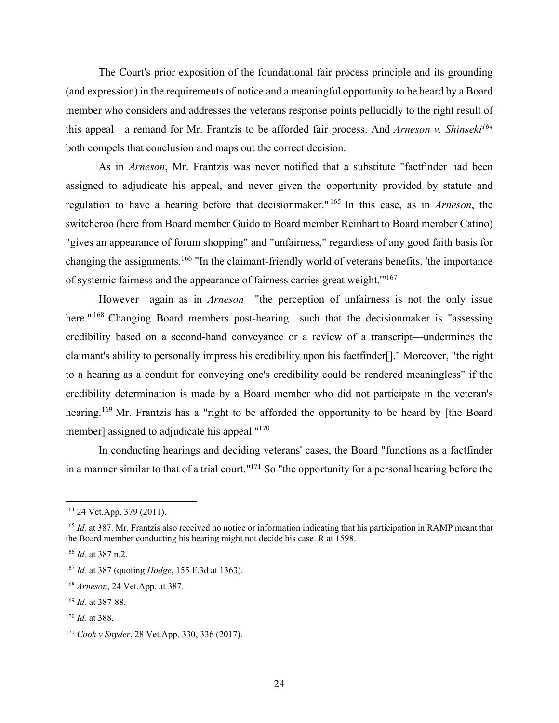The Court's prior exposition of the foundational fair process principle and its grounding (and expression) in the requirements of notice and a meaningful opportunity to be heard by a Board member who considers and addresses the veterans response points pellucidly to the right result of this appeal—a remand for Mr. Frantzis to be afforded fair process. And Arneson v. Shinseki<sup>164</sup> both compels that conclusion and maps out the correct decision.

As in *Arneson*, Mr. Frantzis was never notified that a substitute "factfinder had been assigned to adjudicate his appeal, and never given the opportunity provided by statute and regulation to have a hearing before that decisionmaker." 165 In this case, as in *Arneson*, the switcheroo (here from Board member Guido to Board member Reinhart to Board member Catino) "gives an appearance of forum shopping" and "unfairness," regardless of any good faith basis for changing the assignments.166 "In the claimant-friendly world of veterans benefits, 'the importance of systemic fairness and the appearance of fairness carries great weight.'"167

However—again as in *Arneson*—"the perception of unfairness is not the only issue here."<sup>168</sup> Changing Board members post-hearing—such that the decisionmaker is "assessing credibility based on a second-hand conveyance or a review of a transcript—undermines the claimant's ability to personally impress his credibility upon his factfinder[]." Moreover, "the right to a hearing as a conduit for conveying one's credibility could be rendered meaningless" if the credibility determination is made by a Board member who did not participate in the veteran's hearing.<sup>169</sup> Mr. Frantzis has a "right to be afforded the opportunity to be heard by [the Board member] assigned to adjudicate his appeal."<sup>170</sup>

In conducting hearings and deciding veterans' cases, the Board "functions as a factfinder in a manner similar to that of a trial court."171 So "the opportunity for a personal hearing before the

<sup>164 24</sup> Vet.App. 379 (2011).

<sup>165</sup> *Id.* at 387. Mr. Frantzis also received no notice or information indicating that his participation in RAMP meant that the Board member conducting his hearing might not decide his case. R at 1598.

<sup>166</sup> *Id.* at 387 n.2.

<sup>167</sup> *Id.* at 387 (quoting *Hodge*, 155 F.3d at 1363).

<sup>168</sup> *Arneson*, 24 Vet.App. at 387.

<sup>169</sup> *Id.* at 387-88.

<sup>170</sup> *Id.* at 388.

<sup>171</sup> *Cook v Snyder*, 28 Vet.App. 330, 336 (2017).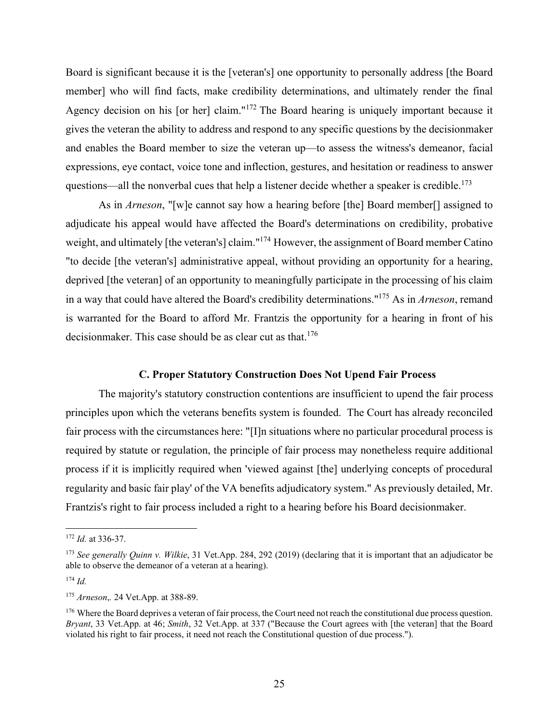Board is significant because it is the [veteran's] one opportunity to personally address [the Board member] who will find facts, make credibility determinations, and ultimately render the final Agency decision on his [or her] claim."<sup>172</sup> The Board hearing is uniquely important because it gives the veteran the ability to address and respond to any specific questions by the decisionmaker and enables the Board member to size the veteran up—to assess the witness's demeanor, facial expressions, eye contact, voice tone and inflection, gestures, and hesitation or readiness to answer questions—all the nonverbal cues that help a listener decide whether a speaker is credible.<sup>173</sup>

As in *Arneson*, "[w]e cannot say how a hearing before [the] Board member[] assigned to adjudicate his appeal would have affected the Board's determinations on credibility, probative weight, and ultimately [the veteran's] claim."174 However, the assignment of Board member Catino "to decide [the veteran's] administrative appeal, without providing an opportunity for a hearing, deprived [the veteran] of an opportunity to meaningfully participate in the processing of his claim in a way that could have altered the Board's credibility determinations."175 As in *Arneson*, remand is warranted for the Board to afford Mr. Frantzis the opportunity for a hearing in front of his decisionmaker. This case should be as clear cut as that.<sup>176</sup>

#### **C. Proper Statutory Construction Does Not Upend Fair Process**

The majority's statutory construction contentions are insufficient to upend the fair process principles upon which the veterans benefits system is founded. The Court has already reconciled fair process with the circumstances here: "[I]n situations where no particular procedural process is required by statute or regulation, the principle of fair process may nonetheless require additional process if it is implicitly required when 'viewed against [the] underlying concepts of procedural regularity and basic fair play' of the VA benefits adjudicatory system." As previously detailed, Mr. Frantzis's right to fair process included a right to a hearing before his Board decisionmaker.

<sup>172</sup> *Id.* at 336-37.

<sup>173</sup> *See generally Quinn v. Wilkie*, 31 Vet.App. 284, 292 (2019) (declaring that it is important that an adjudicator be able to observe the demeanor of a veteran at a hearing).

<sup>174</sup> *Id.*

<sup>175</sup> *Arneson*,*.* 24 Vet.App. at 388-89.

<sup>&</sup>lt;sup>176</sup> Where the Board deprives a veteran of fair process, the Court need not reach the constitutional due process question. *Bryant*, 33 Vet.App. at 46; *Smith*, 32 Vet.App. at 337 ("Because the Court agrees with [the veteran] that the Board violated his right to fair process, it need not reach the Constitutional question of due process.").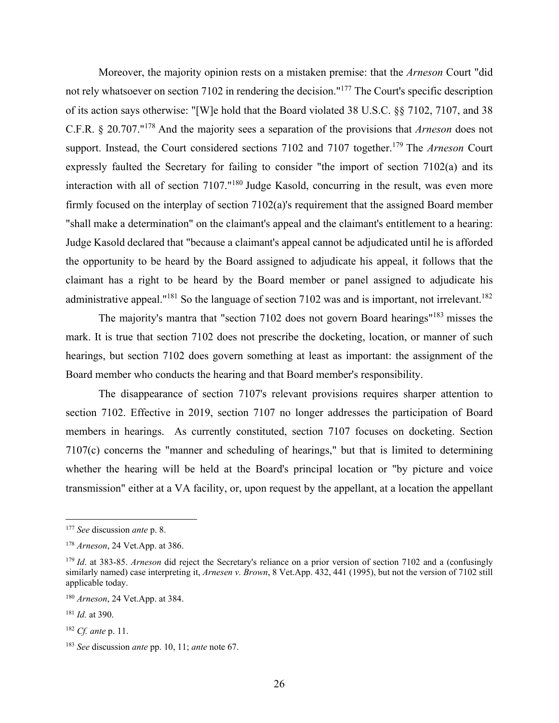Moreover, the majority opinion rests on a mistaken premise: that the *Arneson* Court "did not rely whatsoever on section 7102 in rendering the decision."177 The Court's specific description of its action says otherwise: "[W]e hold that the Board violated 38 U.S.C. §§ 7102, 7107, and 38 C.F.R. § 20.707."178 And the majority sees a separation of the provisions that *Arneson* does not support. Instead, the Court considered sections 7102 and 7107 together.<sup>179</sup> The *Arneson* Court expressly faulted the Secretary for failing to consider "the import of section 7102(a) and its interaction with all of section 7107."<sup>180</sup> Judge Kasold, concurring in the result, was even more firmly focused on the interplay of section 7102(a)'s requirement that the assigned Board member "shall make a determination" on the claimant's appeal and the claimant's entitlement to a hearing: Judge Kasold declared that "because a claimant's appeal cannot be adjudicated until he is afforded the opportunity to be heard by the Board assigned to adjudicate his appeal, it follows that the claimant has a right to be heard by the Board member or panel assigned to adjudicate his administrative appeal."<sup>181</sup> So the language of section 7102 was and is important, not irrelevant.<sup>182</sup>

The majority's mantra that "section 7102 does not govern Board hearings"183 misses the mark. It is true that section 7102 does not prescribe the docketing, location, or manner of such hearings, but section 7102 does govern something at least as important: the assignment of the Board member who conducts the hearing and that Board member's responsibility.

The disappearance of section 7107's relevant provisions requires sharper attention to section 7102. Effective in 2019, section 7107 no longer addresses the participation of Board members in hearings. As currently constituted, section 7107 focuses on docketing. Section 7107(c) concerns the "manner and scheduling of hearings," but that is limited to determining whether the hearing will be held at the Board's principal location or "by picture and voice transmission" either at a VA facility, or, upon request by the appellant, at a location the appellant

<sup>177</sup> *See* discussion *ante* p. 8.

<sup>178</sup> *Arneson*, 24 Vet.App. at 386.

<sup>179</sup> *Id*. at 383-85. *Arneson* did reject the Secretary's reliance on a prior version of section 7102 and a (confusingly similarly named) case interpreting it, *Arnesen v. Brown*, 8 Vet.App. 432, 441 (1995), but not the version of 7102 still applicable today.

<sup>180</sup> *Arneson*, 24 Vet.App. at 384.

<sup>181</sup> *Id.* at 390.

<sup>182</sup> *Cf. ante* p. 11.

<sup>183</sup> *See* discussion *ante* pp. 10, 11; *ante* note 67.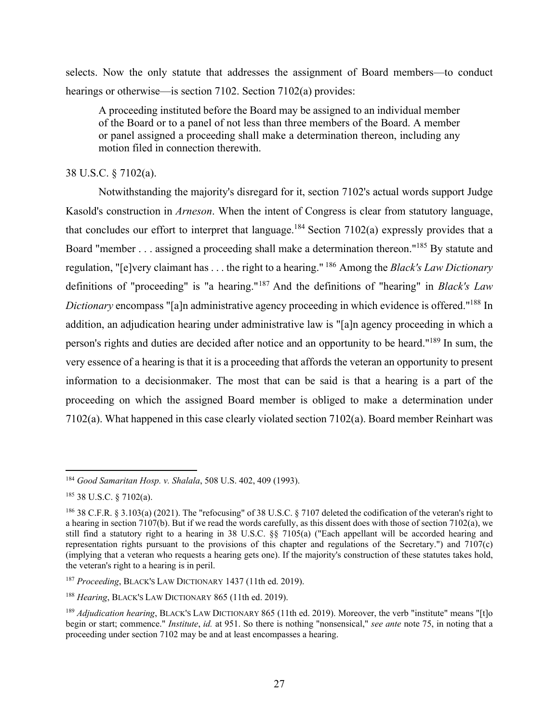selects. Now the only statute that addresses the assignment of Board members—to conduct hearings or otherwise—is section 7102. Section 7102(a) provides:

A proceeding instituted before the Board may be assigned to an individual member of the Board or to a panel of not less than three members of the Board. A member or panel assigned a proceeding shall make a determination thereon, including any motion filed in connection therewith.

# 38 U.S.C. § 7102(a).

Notwithstanding the majority's disregard for it, section 7102's actual words support Judge Kasold's construction in *Arneson*. When the intent of Congress is clear from statutory language, that concludes our effort to interpret that language.<sup>184</sup> Section 7102(a) expressly provides that a Board "member . . . assigned a proceeding shall make a determination thereon."185 By statute and regulation, "[e]very claimant has . . . the right to a hearing." 186 Among the *Black's Law Dictionary* definitions of "proceeding" is "a hearing."187 And the definitions of "hearing" in *Black's Law Dictionary* encompass "[a]n administrative agency proceeding in which evidence is offered."188 In addition, an adjudication hearing under administrative law is "[a]n agency proceeding in which a person's rights and duties are decided after notice and an opportunity to be heard."189 In sum, the very essence of a hearing is that it is a proceeding that affords the veteran an opportunity to present information to a decisionmaker. The most that can be said is that a hearing is a part of the proceeding on which the assigned Board member is obliged to make a determination under 7102(a). What happened in this case clearly violated section 7102(a). Board member Reinhart was

<sup>184</sup> *Good Samaritan Hosp. v. Shalala*, 508 U.S. 402, 409 (1993).

<sup>185 38</sup> U.S.C. § 7102(a).

<sup>186 38</sup> C.F.R. § 3.103(a) (2021). The "refocusing" of 38 U.S.C. § 7107 deleted the codification of the veteran's right to a hearing in section 7107(b). But if we read the words carefully, as this dissent does with those of section 7102(a), we still find a statutory right to a hearing in 38 U.S.C. §§ 7105(a) ("Each appellant will be accorded hearing and representation rights pursuant to the provisions of this chapter and regulations of the Secretary.") and 7107(c) (implying that a veteran who requests a hearing gets one). If the majority's construction of these statutes takes hold, the veteran's right to a hearing is in peril.

<sup>187</sup> *Proceeding*, BLACK'S LAW DICTIONARY 1437 (11th ed. 2019).

<sup>188</sup> *Hearing*, BLACK'S LAW DICTIONARY 865 (11th ed. 2019).

<sup>&</sup>lt;sup>189</sup> *Adiudication hearing*, BLACK's LAW DICTIONARY 865 (11th ed. 2019). Moreover, the verb "institute" means "[t]o begin or start; commence." *Institute*, *id.* at 951. So there is nothing "nonsensical," *see ante* note 75, in noting that a proceeding under section 7102 may be and at least encompasses a hearing.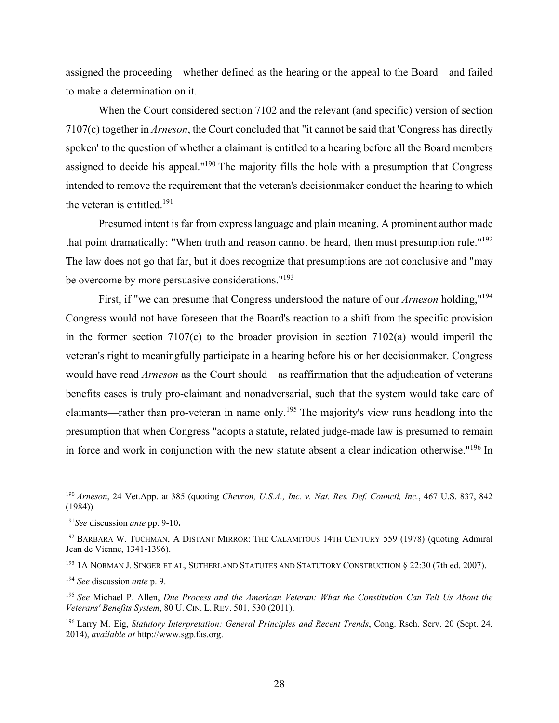assigned the proceeding—whether defined as the hearing or the appeal to the Board—and failed to make a determination on it.

When the Court considered section 7102 and the relevant (and specific) version of section 7107(c) together in *Arneson*, the Court concluded that "it cannot be said that 'Congress has directly spoken' to the question of whether a claimant is entitled to a hearing before all the Board members assigned to decide his appeal."<sup>190</sup> The majority fills the hole with a presumption that Congress intended to remove the requirement that the veteran's decisionmaker conduct the hearing to which the veteran is entitled.<sup>191</sup>

Presumed intent is far from express language and plain meaning. A prominent author made that point dramatically: "When truth and reason cannot be heard, then must presumption rule."<sup>192</sup> The law does not go that far, but it does recognize that presumptions are not conclusive and "may be overcome by more persuasive considerations."<sup>193</sup>

First, if "we can presume that Congress understood the nature of our *Arneson* holding,"194 Congress would not have foreseen that the Board's reaction to a shift from the specific provision in the former section 7107(c) to the broader provision in section 7102(a) would imperil the veteran's right to meaningfully participate in a hearing before his or her decisionmaker. Congress would have read *Arneson* as the Court should—as reaffirmation that the adjudication of veterans benefits cases is truly pro-claimant and nonadversarial, such that the system would take care of claimants—rather than pro-veteran in name only.195 The majority's view runs headlong into the presumption that when Congress "adopts a statute, related judge-made law is presumed to remain in force and work in conjunction with the new statute absent a clear indication otherwise."196 In

193 1A NORMAN J. SINGER ET AL, SUTHERLAND STATUTES AND STATUTORY CONSTRUCTION § 22:30 (7th ed. 2007).

<sup>190</sup> *Arneson*, 24 Vet.App. at 385 (quoting *Chevron, U.S.A., Inc. v. Nat. Res. Def. Council, Inc.*, 467 U.S. 837, 842 (1984)).

<sup>191</sup>*See* discussion *ante* pp. 9-10**.**

<sup>&</sup>lt;sup>192</sup> BARBARA W. TUCHMAN, A DISTANT MIRROR: THE CALAMITOUS 14TH CENTURY 559 (1978) (quoting Admiral Jean de Vienne, 1341-1396).

<sup>194</sup> *See* discussion *ante* p. 9.

<sup>195</sup> *See* Michael P. Allen, *Due Process and the American Veteran: What the Constitution Can Tell Us About the Veterans' Benefits System*, 80 U. CIN. L. REV. 501, 530 (2011).

<sup>196</sup> Larry M. Eig, *Statutory Interpretation: General Principles and Recent Trends*, Cong. Rsch. Serv. 20 (Sept. 24, 2014), *available at* http://www.sgp.fas.org.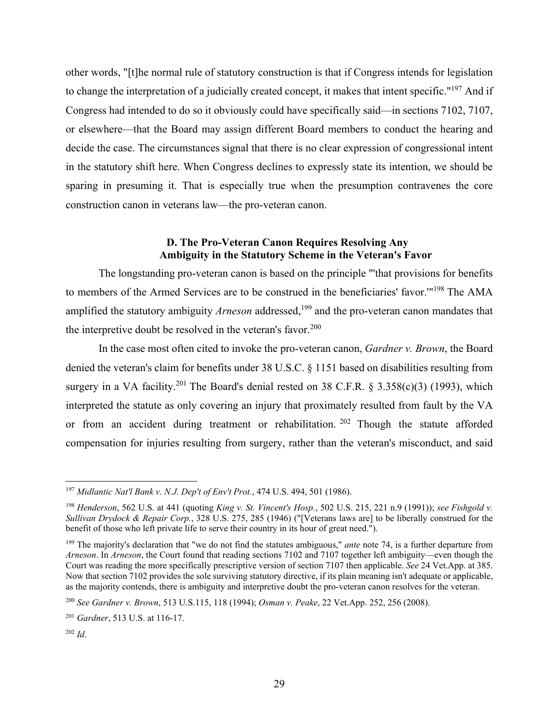other words, "[t]he normal rule of statutory construction is that if Congress intends for legislation to change the interpretation of a judicially created concept, it makes that intent specific."197 And if Congress had intended to do so it obviously could have specifically said—in sections 7102, 7107, or elsewhere—that the Board may assign different Board members to conduct the hearing and decide the case. The circumstances signal that there is no clear expression of congressional intent in the statutory shift here. When Congress declines to expressly state its intention, we should be sparing in presuming it. That is especially true when the presumption contravenes the core construction canon in veterans law—the pro-veteran canon.

# **D. The Pro-Veteran Canon Requires Resolving Any Ambiguity in the Statutory Scheme in the Veteran's Favor**

The longstanding pro-veteran canon is based on the principle "'that provisions for benefits to members of the Armed Services are to be construed in the beneficiaries' favor.'"198 The AMA amplified the statutory ambiguity *Arneson* addressed,<sup>199</sup> and the pro-veteran canon mandates that the interpretive doubt be resolved in the veteran's favor.<sup>200</sup>

In the case most often cited to invoke the pro-veteran canon, *Gardner v. Brown*, the Board denied the veteran's claim for benefits under 38 U.S.C. § 1151 based on disabilities resulting from surgery in a VA facility.<sup>201</sup> The Board's denial rested on 38 C.F.R. § 3.358(c)(3) (1993), which interpreted the statute as only covering an injury that proximately resulted from fault by the VA or from an accident during treatment or rehabilitation. <sup>202</sup> Though the statute afforded compensation for injuries resulting from surgery, rather than the veteran's misconduct, and said

<sup>197</sup> *Midlantic Nat'l Bank v. N.J. Dep't of Env't Prot.*, 474 U.S. 494, 501 (1986).

<sup>198</sup> *Henderson*, 562 U.S. at 441 (quoting *King v. St. Vincent's Hosp.*, 502 U.S. 215, 221 n.9 (1991)); *see Fishgold v. Sullivan Drydock & Repair Corp.*, 328 U.S. 275, 285 (1946) ("[Veterans laws are] to be liberally construed for the benefit of those who left private life to serve their country in its hour of great need.").

<sup>199</sup> The majority's declaration that "we do not find the statutes ambiguous," *ante* note 74, is a further departure from *Arneson*. In *Arneson*, the Court found that reading sections 7102 and 7107 together left ambiguity—even though the Court was reading the more specifically prescriptive version of section 7107 then applicable. *See* 24 Vet.App. at 385. Now that section 7102 provides the sole surviving statutory directive, if its plain meaning isn't adequate or applicable, as the majority contends, there is ambiguity and interpretive doubt the pro-veteran canon resolves for the veteran.

<sup>200</sup> *See Gardner v. Brown*, 513 U.S.115, 118 (1994); *Osman v. Peake*, 22 Vet.App. 252, 256 (2008).

<sup>201</sup> *Gardner*, 513 U.S. at 116-17.

<sup>202</sup> *Id*.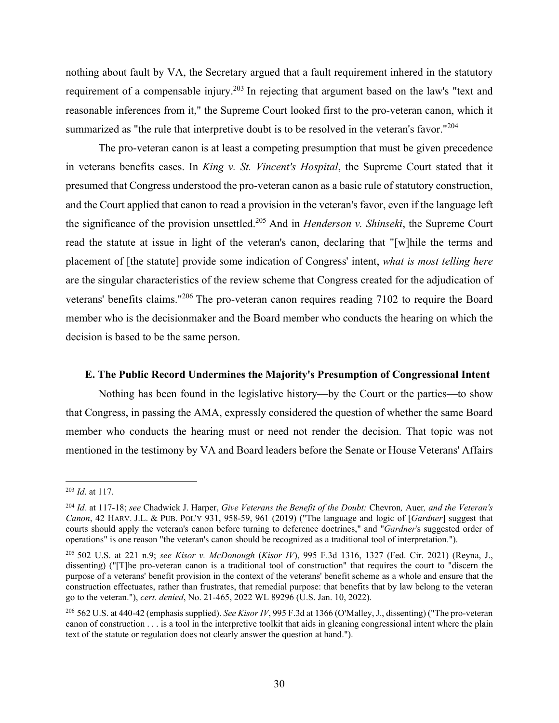nothing about fault by VA, the Secretary argued that a fault requirement inhered in the statutory requirement of a compensable injury.<sup>203</sup> In rejecting that argument based on the law's "text and reasonable inferences from it," the Supreme Court looked first to the pro-veteran canon, which it summarized as "the rule that interpretive doubt is to be resolved in the veteran's favor."<sup>204</sup>

The pro-veteran canon is at least a competing presumption that must be given precedence in veterans benefits cases. In *King v. St. Vincent's Hospital*, the Supreme Court stated that it presumed that Congress understood the pro-veteran canon as a basic rule of statutory construction, and the Court applied that canon to read a provision in the veteran's favor, even if the language left the significance of the provision unsettled.205 And in *Henderson v. Shinseki*, the Supreme Court read the statute at issue in light of the veteran's canon, declaring that "[w]hile the terms and placement of [the statute] provide some indication of Congress' intent, *what is most telling here* are the singular characteristics of the review scheme that Congress created for the adjudication of veterans' benefits claims."206 The pro-veteran canon requires reading 7102 to require the Board member who is the decisionmaker and the Board member who conducts the hearing on which the decision is based to be the same person.

### **E. The Public Record Undermines the Majority's Presumption of Congressional Intent**

Nothing has been found in the legislative history—by the Court or the parties—to show that Congress, in passing the AMA, expressly considered the question of whether the same Board member who conducts the hearing must or need not render the decision. That topic was not mentioned in the testimony by VA and Board leaders before the Senate or House Veterans' Affairs

<sup>203</sup> *Id*. at 117.

<sup>204</sup> *Id.* at 117-18; *see* Chadwick J. Harper, *Give Veterans the Benefit of the Doubt:* Chevron*,* Auer*, and the Veteran's Canon*, 42 HARV. J.L. & PUB. POL'Y 931, 958-59, 961 (2019) ("The language and logic of [*Gardner*] suggest that courts should apply the veteran's canon before turning to deference doctrines," and "*Gardner*'s suggested order of operations" is one reason "the veteran's canon should be recognized as a traditional tool of interpretation.").

<sup>205</sup> 502 U.S. at 221 n.9; *see Kisor v. McDonough* (*Kisor IV*), 995 F.3d 1316, 1327 (Fed. Cir. 2021) (Reyna, J., dissenting) ("[T]he pro-veteran canon is a traditional tool of construction" that requires the court to "discern the purpose of a veterans' benefit provision in the context of the veterans' benefit scheme as a whole and ensure that the construction effectuates, rather than frustrates, that remedial purpose: that benefits that by law belong to the veteran go to the veteran."), *cert. denied*, No. 21-465, 2022 WL 89296 (U.S. Jan. 10, 2022).

<sup>206 562</sup> U.S. at 440-42 (emphasis supplied). *See Kisor IV*, 995 F.3d at 1366 (O'Malley, J., dissenting) ("The pro-veteran canon of construction . . . is a tool in the interpretive toolkit that aids in gleaning congressional intent where the plain text of the statute or regulation does not clearly answer the question at hand.").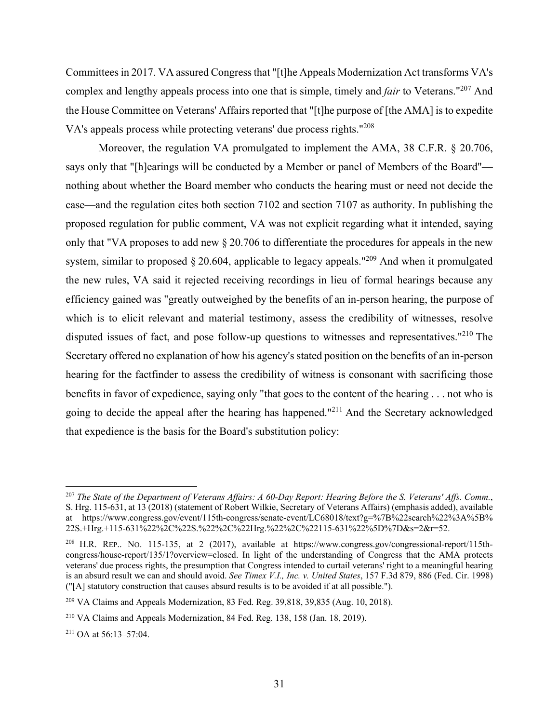Committees in 2017. VA assured Congress that "[t]he Appeals Modernization Act transforms VA's complex and lengthy appeals process into one that is simple, timely and *fair* to Veterans."207 And the House Committee on Veterans' Affairs reported that "[t]he purpose of [the AMA] is to expedite VA's appeals process while protecting veterans' due process rights."208

Moreover, the regulation VA promulgated to implement the AMA, 38 C.F.R. § 20.706, says only that "[h]earings will be conducted by a Member or panel of Members of the Board" nothing about whether the Board member who conducts the hearing must or need not decide the case—and the regulation cites both section 7102 and section 7107 as authority. In publishing the proposed regulation for public comment, VA was not explicit regarding what it intended, saying only that "VA proposes to add new § 20.706 to differentiate the procedures for appeals in the new system, similar to proposed  $\S 20.604$ , applicable to legacy appeals."<sup>209</sup> And when it promulgated the new rules, VA said it rejected receiving recordings in lieu of formal hearings because any efficiency gained was "greatly outweighed by the benefits of an in-person hearing, the purpose of which is to elicit relevant and material testimony, assess the credibility of witnesses, resolve disputed issues of fact, and pose follow-up questions to witnesses and representatives."<sup>210</sup> The Secretary offered no explanation of how his agency's stated position on the benefits of an in-person hearing for the factfinder to assess the credibility of witness is consonant with sacrificing those benefits in favor of expedience, saying only "that goes to the content of the hearing . . . not who is going to decide the appeal after the hearing has happened."211 And the Secretary acknowledged that expedience is the basis for the Board's substitution policy:

<sup>207</sup> *The State of the Department of Veterans Affairs: A 60-Day Report: Hearing Before the S. Veterans' Affs. Comm.*, S. Hrg. 115-631, at 13 (2018) (statement of Robert Wilkie, Secretary of Veterans Affairs) (emphasis added), available at https://www.congress.gov/event/115th-congress/senate-event/LC68018/text?g=%7B%22search%22%3A%5B% 22S.+Hrg.+115-631%22%2C%22S.%22%2C%22Hrg.%22%2C%22115-631%22%5D%7D&s=2&r=52.

<sup>&</sup>lt;sup>208</sup> H.R. REP.. No. 115-135, at 2 (2017), available at https://www.congress.gov/congressional-report/115thcongress/house-report/135/1?overview=closed. In light of the understanding of Congress that the AMA protects veterans' due process rights, the presumption that Congress intended to curtail veterans' right to a meaningful hearing is an absurd result we can and should avoid. *See Timex V.I., Inc. v. United States*, 157 F.3d 879, 886 (Fed. Cir. 1998) ("[A] statutory construction that causes absurd results is to be avoided if at all possible.").

<sup>209</sup> VA Claims and Appeals Modernization, 83 Fed. Reg. 39,818, 39,835 (Aug. 10, 2018).

<sup>210</sup> VA Claims and Appeals Modernization, 84 Fed. Reg. 138, 158 (Jan. 18, 2019).

<sup>211</sup> OA at 56:13–57:04.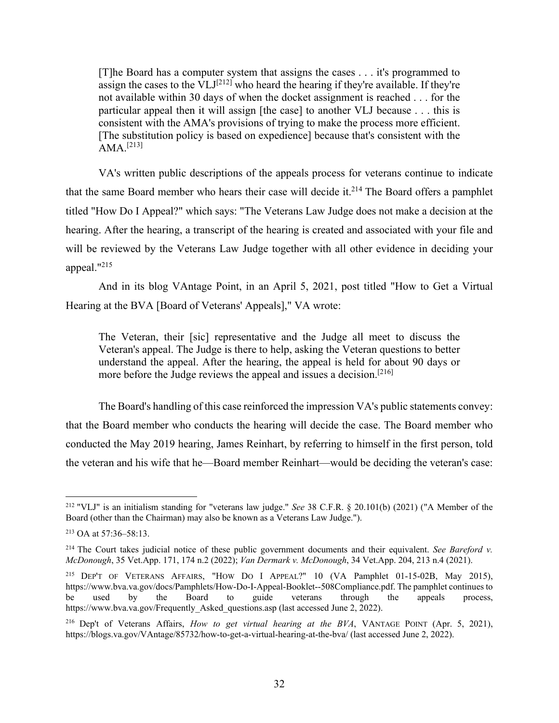[T]he Board has a computer system that assigns the cases . . . it's programmed to assign the cases to the  $VLJ^{[212]}$  who heard the hearing if they're available. If they're not available within 30 days of when the docket assignment is reached . . . for the particular appeal then it will assign [the case] to another VLJ because . . . this is consistent with the AMA's provisions of trying to make the process more efficient. [The substitution policy is based on expedience] because that's consistent with the  $AMA$ <sup>[213]</sup>

VA's written public descriptions of the appeals process for veterans continue to indicate that the same Board member who hears their case will decide it.<sup>214</sup> The Board offers a pamphlet titled "How Do I Appeal?" which says: "The Veterans Law Judge does not make a decision at the hearing. After the hearing, a transcript of the hearing is created and associated with your file and will be reviewed by the Veterans Law Judge together with all other evidence in deciding your appeal."215

And in its blog VAntage Point, in an April 5, 2021, post titled "How to Get a Virtual Hearing at the BVA [Board of Veterans' Appeals]," VA wrote:

The Veteran, their [sic] representative and the Judge all meet to discuss the Veteran's appeal. The Judge is there to help, asking the Veteran questions to better understand the appeal. After the hearing, the appeal is held for about 90 days or more before the Judge reviews the appeal and issues a decision.<sup>[216]</sup>

The Board's handling of this case reinforced the impression VA's public statements convey: that the Board member who conducts the hearing will decide the case. The Board member who conducted the May 2019 hearing, James Reinhart, by referring to himself in the first person, told the veteran and his wife that he—Board member Reinhart—would be deciding the veteran's case:

<sup>212 &</sup>quot;VLJ" is an initialism standing for "veterans law judge." *See* 38 C.F.R. § 20.101(b) (2021) ("A Member of the Board (other than the Chairman) may also be known as a Veterans Law Judge.").

<sup>213</sup> OA at 57:36–58:13.

<sup>&</sup>lt;sup>214</sup> The Court takes judicial notice of these public government documents and their equivalent. *See Bareford v. McDonough*, 35 Vet.App. 171, 174 n.2 (2022); *Van Dermark v. McDonough*, 34 Vet.App. 204, 213 n.4 (2021).

<sup>215</sup> DEP'T OF VETERANS AFFAIRS, "HOW DO I APPEAL?" 10 (VA Pamphlet 01-15-02B, May 2015), https://www.bva.va.gov/docs/Pamphlets/How-Do-I-Appeal-Booklet--508Compliance.pdf. The pamphlet continues to be used by the Board to guide veterans through the appeals process, https://www.bva.va.gov/Frequently Asked questions.asp (last accessed June 2, 2022).

<sup>216</sup> Dep't of Veterans Affairs, *How to get virtual hearing at the BVA*, VANTAGE POINT (Apr. 5, 2021), https://blogs.va.gov/VAntage/85732/how-to-get-a-virtual-hearing-at-the-bva/ (last accessed June 2, 2022).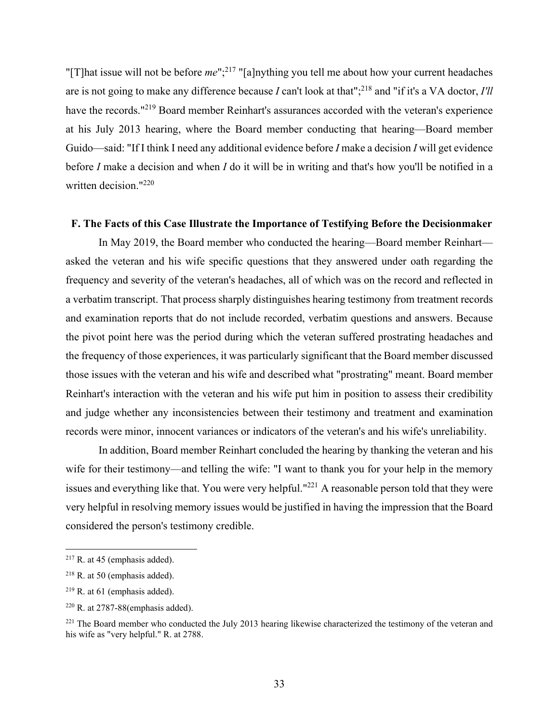"[T]hat issue will not be before *me*";<sup>217</sup> "[a]nything you tell me about how your current headaches are is not going to make any difference because *I* can't look at that";<sup>218</sup> and "if it's a VA doctor, *I'll* have the records."<sup>219</sup> Board member Reinhart's assurances accorded with the veteran's experience at his July 2013 hearing, where the Board member conducting that hearing—Board member Guido—said: "If I think I need any additional evidence before *I* make a decision *I* will get evidence before *I* make a decision and when *I* do it will be in writing and that's how you'll be notified in a written decision."220

#### **F. The Facts of this Case Illustrate the Importance of Testifying Before the Decisionmaker**

In May 2019, the Board member who conducted the hearing—Board member Reinhart asked the veteran and his wife specific questions that they answered under oath regarding the frequency and severity of the veteran's headaches, all of which was on the record and reflected in a verbatim transcript. That process sharply distinguishes hearing testimony from treatment records and examination reports that do not include recorded, verbatim questions and answers. Because the pivot point here was the period during which the veteran suffered prostrating headaches and the frequency of those experiences, it was particularly significant that the Board member discussed those issues with the veteran and his wife and described what "prostrating" meant. Board member Reinhart's interaction with the veteran and his wife put him in position to assess their credibility and judge whether any inconsistencies between their testimony and treatment and examination records were minor, innocent variances or indicators of the veteran's and his wife's unreliability.

In addition, Board member Reinhart concluded the hearing by thanking the veteran and his wife for their testimony—and telling the wife: "I want to thank you for your help in the memory issues and everything like that. You were very helpful."221 A reasonable person told that they were very helpful in resolving memory issues would be justified in having the impression that the Board considered the person's testimony credible.

 $217$  R. at 45 (emphasis added).

 $218$  R. at 50 (emphasis added).

 $219$  R. at 61 (emphasis added).

 $220$  R. at 2787-88(emphasis added).

<sup>&</sup>lt;sup>221</sup> The Board member who conducted the July 2013 hearing likewise characterized the testimony of the veteran and his wife as "very helpful." R. at 2788.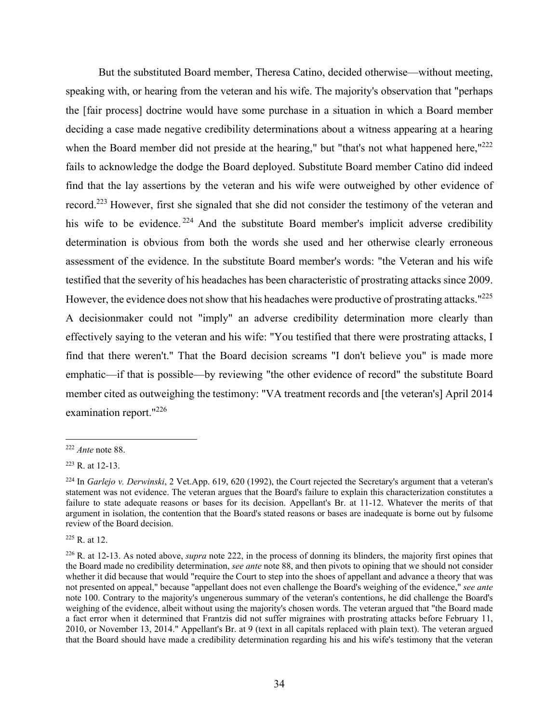But the substituted Board member, Theresa Catino, decided otherwise—without meeting, speaking with, or hearing from the veteran and his wife. The majority's observation that "perhaps the [fair process] doctrine would have some purchase in a situation in which a Board member deciding a case made negative credibility determinations about a witness appearing at a hearing when the Board member did not preside at the hearing," but "that's not what happened here," $222$ fails to acknowledge the dodge the Board deployed. Substitute Board member Catino did indeed find that the lay assertions by the veteran and his wife were outweighed by other evidence of record.223 However, first she signaled that she did not consider the testimony of the veteran and his wife to be evidence.<sup>224</sup> And the substitute Board member's implicit adverse credibility determination is obvious from both the words she used and her otherwise clearly erroneous assessment of the evidence. In the substitute Board member's words: "the Veteran and his wife testified that the severity of his headaches has been characteristic of prostrating attacks since 2009. However, the evidence does not show that his headaches were productive of prostrating attacks."<sup>225</sup> A decisionmaker could not "imply" an adverse credibility determination more clearly than effectively saying to the veteran and his wife: "You testified that there were prostrating attacks, I find that there weren't." That the Board decision screams "I don't believe you" is made more emphatic—if that is possible—by reviewing "the other evidence of record" the substitute Board member cited as outweighing the testimony: "VA treatment records and [the veteran's] April 2014 examination report."<sup>226</sup>

225 R. at 12.

<sup>222</sup> *Ante* note 88.

<sup>223</sup> R. at 12-13.

<sup>224</sup> In *Garlejo v. Derwinski*, 2 Vet.App. 619, 620 (1992), the Court rejected the Secretary's argument that a veteran's statement was not evidence. The veteran argues that the Board's failure to explain this characterization constitutes a failure to state adequate reasons or bases for its decision. Appellant's Br. at 11-12. Whatever the merits of that argument in isolation, the contention that the Board's stated reasons or bases are inadequate is borne out by fulsome review of the Board decision.

<sup>226</sup> R. at 12-13. As noted above, *supra* note 222, in the process of donning its blinders, the majority first opines that the Board made no credibility determination, *see ante* note 88, and then pivots to opining that we should not consider whether it did because that would "require the Court to step into the shoes of appellant and advance a theory that was not presented on appeal," because "appellant does not even challenge the Board's weighing of the evidence," *see ante* note 100. Contrary to the majority's ungenerous summary of the veteran's contentions, he did challenge the Board's weighing of the evidence, albeit without using the majority's chosen words. The veteran argued that "the Board made a fact error when it determined that Frantzis did not suffer migraines with prostrating attacks before February 11, 2010, or November 13, 2014." Appellant's Br. at 9 (text in all capitals replaced with plain text). The veteran argued that the Board should have made a credibility determination regarding his and his wife's testimony that the veteran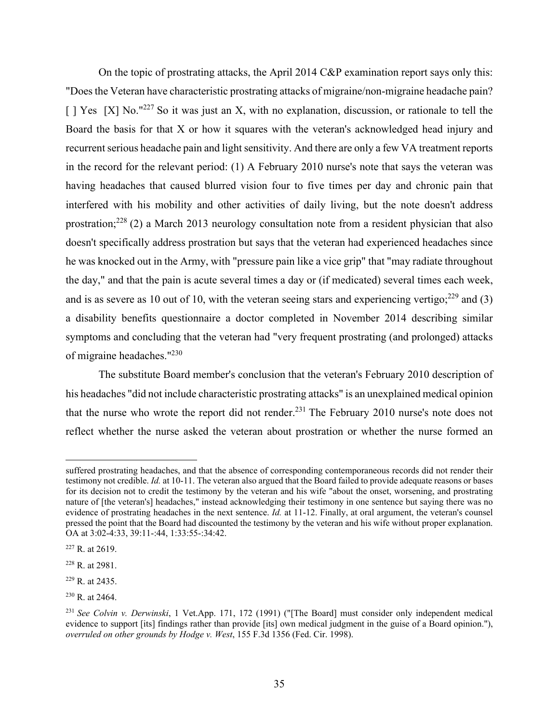On the topic of prostrating attacks, the April 2014 C&P examination report says only this: "Does the Veteran have characteristic prostrating attacks of migraine/non-migraine headache pain?  $\lceil$  | Yes  $\lceil$  X| No."<sup>227</sup> So it was just an X, with no explanation, discussion, or rationale to tell the Board the basis for that X or how it squares with the veteran's acknowledged head injury and recurrent serious headache pain and light sensitivity. And there are only a few VA treatment reports in the record for the relevant period: (1) A February 2010 nurse's note that says the veteran was having headaches that caused blurred vision four to five times per day and chronic pain that interfered with his mobility and other activities of daily living, but the note doesn't address prostration;228 (2) a March 2013 neurology consultation note from a resident physician that also doesn't specifically address prostration but says that the veteran had experienced headaches since he was knocked out in the Army, with "pressure pain like a vice grip" that "may radiate throughout the day," and that the pain is acute several times a day or (if medicated) several times each week, and is as severe as 10 out of 10, with the veteran seeing stars and experiencing vertigo;  $^{229}$  and (3) a disability benefits questionnaire a doctor completed in November 2014 describing similar symptoms and concluding that the veteran had "very frequent prostrating (and prolonged) attacks of migraine headaches."230

The substitute Board member's conclusion that the veteran's February 2010 description of his headaches "did not include characteristic prostrating attacks" is an unexplained medical opinion that the nurse who wrote the report did not render.<sup>231</sup> The February 2010 nurse's note does not reflect whether the nurse asked the veteran about prostration or whether the nurse formed an

suffered prostrating headaches, and that the absence of corresponding contemporaneous records did not render their testimony not credible. *Id.* at 10-11. The veteran also argued that the Board failed to provide adequate reasons or bases for its decision not to credit the testimony by the veteran and his wife "about the onset, worsening, and prostrating nature of [the veteran's] headaches," instead acknowledging their testimony in one sentence but saying there was no evidence of prostrating headaches in the next sentence. *Id.* at 11-12. Finally, at oral argument, the veteran's counsel pressed the point that the Board had discounted the testimony by the veteran and his wife without proper explanation. OA at 3:02-4:33, 39:11-:44, 1:33:55-:34:42.

<sup>227</sup> R. at 2619.

<sup>228</sup> R. at 2981.

<sup>229</sup> R. at 2435.

<sup>230</sup> R. at 2464.

<sup>231</sup> *See Colvin v. Derwinski*, 1 Vet.App. 171, 172 (1991) ("[The Board] must consider only independent medical evidence to support [its] findings rather than provide [its] own medical judgment in the guise of a Board opinion."), *overruled on other grounds by Hodge v. West*, 155 F.3d 1356 (Fed. Cir. 1998).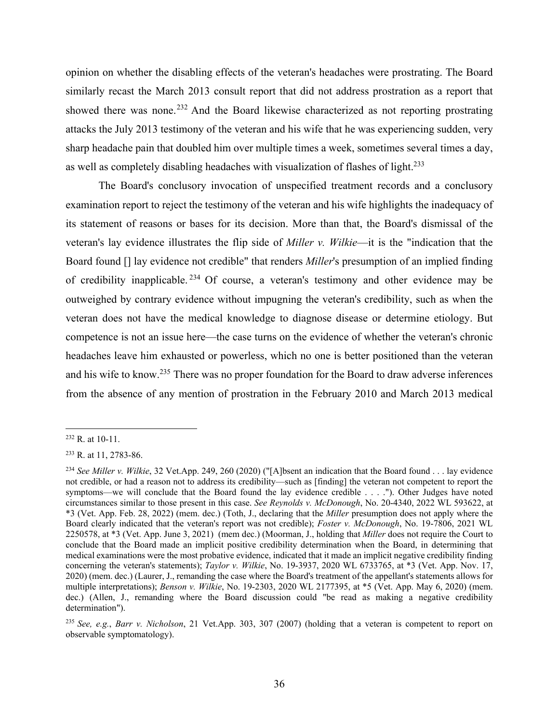opinion on whether the disabling effects of the veteran's headaches were prostrating. The Board similarly recast the March 2013 consult report that did not address prostration as a report that showed there was none.<sup>232</sup> And the Board likewise characterized as not reporting prostrating attacks the July 2013 testimony of the veteran and his wife that he was experiencing sudden, very sharp headache pain that doubled him over multiple times a week, sometimes several times a day, as well as completely disabling headaches with visualization of flashes of light.<sup>233</sup>

The Board's conclusory invocation of unspecified treatment records and a conclusory examination report to reject the testimony of the veteran and his wife highlights the inadequacy of its statement of reasons or bases for its decision. More than that, the Board's dismissal of the veteran's lay evidence illustrates the flip side of *Miller v. Wilkie*—it is the "indication that the Board found [] lay evidence not credible" that renders *Miller*'s presumption of an implied finding of credibility inapplicable.<sup>234</sup> Of course, a veteran's testimony and other evidence may be outweighed by contrary evidence without impugning the veteran's credibility, such as when the veteran does not have the medical knowledge to diagnose disease or determine etiology. But competence is not an issue here—the case turns on the evidence of whether the veteran's chronic headaches leave him exhausted or powerless, which no one is better positioned than the veteran and his wife to know.235 There was no proper foundation for the Board to draw adverse inferences from the absence of any mention of prostration in the February 2010 and March 2013 medical

 $232$  R. at 10-11.

<sup>233</sup> R. at 11, 2783-86.

<sup>234</sup> *See Miller v. Wilkie*, 32 Vet.App. 249, 260 (2020) ("[A]bsent an indication that the Board found . . . lay evidence not credible, or had a reason not to address its credibility—such as [finding] the veteran not competent to report the symptoms—we will conclude that the Board found the lay evidence credible . . . ."). Other Judges have noted circumstances similar to those present in this case. *See Reynolds v. McDonough*, No. 20-4340, 2022 WL 593622, at \*3 (Vet. App. Feb. 28, 2022) (mem. dec.) (Toth, J., declaring that the *Miller* presumption does not apply where the Board clearly indicated that the veteran's report was not credible); *Foster v. McDonough*, No. 19-7806, 2021 WL 2250578, at \*3 (Vet. App. June 3, 2021) (mem dec.) (Moorman, J., holding that *Miller* does not require the Court to conclude that the Board made an implicit positive credibility determination when the Board, in determining that medical examinations were the most probative evidence, indicated that it made an implicit negative credibility finding concerning the veteran's statements); *Taylor v. Wilkie*, No. 19-3937, 2020 WL 6733765, at \*3 (Vet. App. Nov. 17, 2020) (mem. dec.) (Laurer, J., remanding the case where the Board's treatment of the appellant's statements allows for multiple interpretations); *Benson v. Wilkie*, No. 19-2303, 2020 WL 2177395, at \*5 (Vet. App. May 6, 2020) (mem. dec.) (Allen, J., remanding where the Board discussion could "be read as making a negative credibility determination").

<sup>235</sup> *See, e.g.*, *Barr v. Nicholson*, 21 Vet.App. 303, 307 (2007) (holding that a veteran is competent to report on observable symptomatology).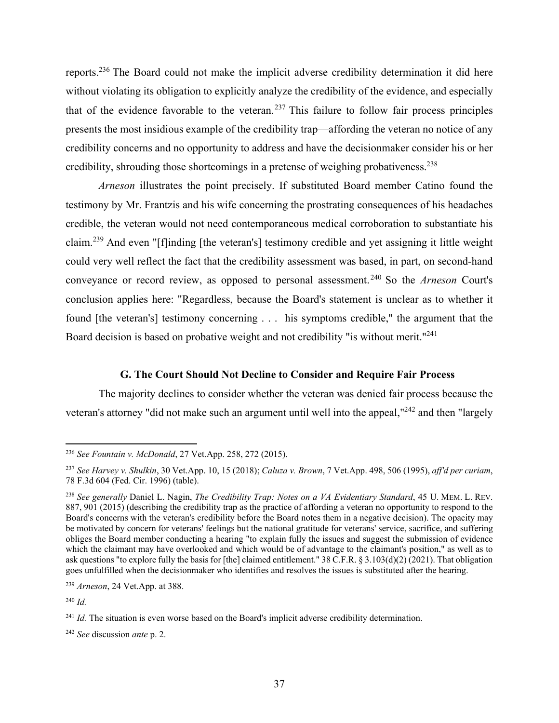reports.236 The Board could not make the implicit adverse credibility determination it did here without violating its obligation to explicitly analyze the credibility of the evidence, and especially that of the evidence favorable to the veteran.<sup>237</sup> This failure to follow fair process principles presents the most insidious example of the credibility trap—affording the veteran no notice of any credibility concerns and no opportunity to address and have the decisionmaker consider his or her credibility, shrouding those shortcomings in a pretense of weighing probativeness.238

*Arneson* illustrates the point precisely. If substituted Board member Catino found the testimony by Mr. Frantzis and his wife concerning the prostrating consequences of his headaches credible, the veteran would not need contemporaneous medical corroboration to substantiate his claim.239 And even "[f]inding [the veteran's] testimony credible and yet assigning it little weight could very well reflect the fact that the credibility assessment was based, in part, on second-hand conveyance or record review, as opposed to personal assessment. 240 So the *Arneson* Court's conclusion applies here: "Regardless, because the Board's statement is unclear as to whether it found [the veteran's] testimony concerning . . . his symptoms credible," the argument that the Board decision is based on probative weight and not credibility "is without merit."<sup>241</sup>

### **G. The Court Should Not Decline to Consider and Require Fair Process**

The majority declines to consider whether the veteran was denied fair process because the veteran's attorney "did not make such an argument until well into the appeal,"242 and then "largely

<sup>240</sup> *Id.*

<sup>236</sup> *See Fountain v. McDonald*, 27 Vet.App. 258, 272 (2015).

<sup>237</sup> *See Harvey v. Shulkin*, 30 Vet.App. 10, 15 (2018); *Caluza v. Brown*, 7 Vet.App. 498, 506 (1995), *aff'd per curiam*, 78 F.3d 604 (Fed. Cir. 1996) (table).

<sup>238</sup> *See generally* Daniel L. Nagin, *The Credibility Trap: Notes on a VA Evidentiary Standard*, 45 U. MEM. L. REV. 887, 901 (2015) (describing the credibility trap as the practice of affording a veteran no opportunity to respond to the Board's concerns with the veteran's credibility before the Board notes them in a negative decision). The opacity may be motivated by concern for veterans' feelings but the national gratitude for veterans' service, sacrifice, and suffering obliges the Board member conducting a hearing "to explain fully the issues and suggest the submission of evidence which the claimant may have overlooked and which would be of advantage to the claimant's position," as well as to ask questions "to explore fully the basis for [the] claimed entitlement." 38 C.F.R. § 3.103(d)(2) (2021). That obligation goes unfulfilled when the decisionmaker who identifies and resolves the issues is substituted after the hearing.

<sup>239</sup> *Arneson*, 24 Vet.App. at 388.

<sup>&</sup>lt;sup>241</sup> *Id.* The situation is even worse based on the Board's implicit adverse credibility determination.

<sup>242</sup> *See* discussion *ante* p. 2.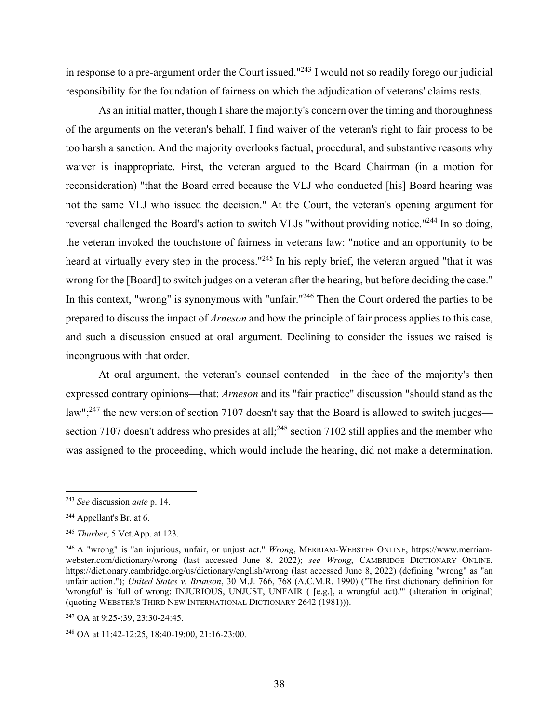in response to a pre-argument order the Court issued."243 I would not so readily forego our judicial responsibility for the foundation of fairness on which the adjudication of veterans' claims rests.

As an initial matter, though I share the majority's concern over the timing and thoroughness of the arguments on the veteran's behalf, I find waiver of the veteran's right to fair process to be too harsh a sanction. And the majority overlooks factual, procedural, and substantive reasons why waiver is inappropriate. First, the veteran argued to the Board Chairman (in a motion for reconsideration) "that the Board erred because the VLJ who conducted [his] Board hearing was not the same VLJ who issued the decision." At the Court, the veteran's opening argument for reversal challenged the Board's action to switch VLJs "without providing notice."244 In so doing, the veteran invoked the touchstone of fairness in veterans law: "notice and an opportunity to be heard at virtually every step in the process."<sup>245</sup> In his reply brief, the veteran argued "that it was wrong for the [Board] to switch judges on a veteran after the hearing, but before deciding the case." In this context, "wrong" is synonymous with "unfair."<sup>246</sup> Then the Court ordered the parties to be prepared to discuss the impact of *Arneson* and how the principle of fair process applies to this case, and such a discussion ensued at oral argument. Declining to consider the issues we raised is incongruous with that order.

At oral argument, the veteran's counsel contended—in the face of the majority's then expressed contrary opinions—that: *Arneson* and its "fair practice" discussion "should stand as the law";<sup>247</sup> the new version of section 7107 doesn't say that the Board is allowed to switch judges section 7107 doesn't address who presides at all;<sup>248</sup> section 7102 still applies and the member who was assigned to the proceeding, which would include the hearing, did not make a determination,

<sup>243</sup> *See* discussion *ante* p. 14.

<sup>244</sup> Appellant's Br. at 6.

<sup>245</sup> *Thurber*, 5 Vet.App. at 123.

<sup>246</sup> A "wrong" is "an injurious, unfair, or unjust act." *Wrong*, MERRIAM-WEBSTER ONLINE, https://www.merriamwebster.com/dictionary/wrong (last accessed June 8, 2022); *see Wrong*, CAMBRIDGE DICTIONARY ONLINE, https://dictionary.cambridge.org/us/dictionary/english/wrong (last accessed June 8, 2022) (defining "wrong" as "an unfair action."); *United States v. Brunson*, 30 M.J. 766, 768 (A.C.M.R. 1990) ("The first dictionary definition for 'wrongful' is 'full of wrong: INJURIOUS, UNJUST, UNFAIR ( [e.g.], a wrongful act).'" (alteration in original) (quoting WEBSTER'S THIRD NEW INTERNATIONAL DICTIONARY 2642 (1981))).

<sup>247</sup> OA at 9:25-:39, 23:30-24:45.

<sup>248</sup> OA at 11:42-12:25, 18:40-19:00, 21:16-23:00.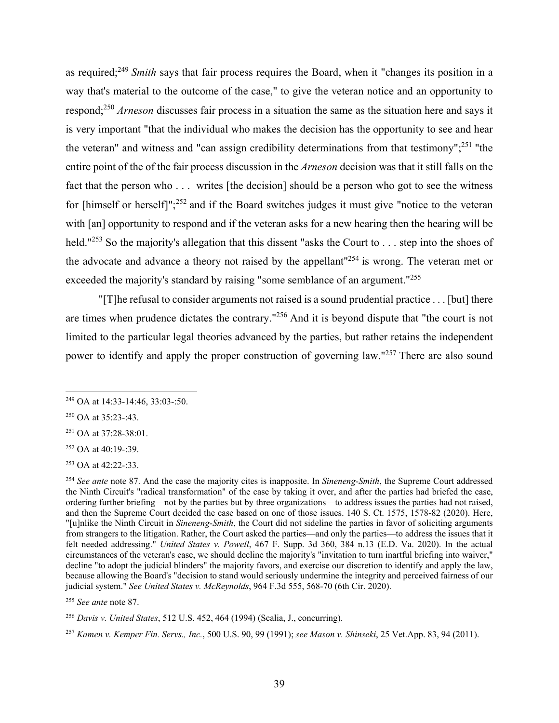as required;249 *Smith* says that fair process requires the Board, when it "changes its position in a way that's material to the outcome of the case," to give the veteran notice and an opportunity to respond;250 *Arneson* discusses fair process in a situation the same as the situation here and says it is very important "that the individual who makes the decision has the opportunity to see and hear the veteran" and witness and "can assign credibility determinations from that testimony";251 "the entire point of the of the fair process discussion in the *Arneson* decision was that it still falls on the fact that the person who . . . writes [the decision] should be a person who got to see the witness for [himself or herself]";252 and if the Board switches judges it must give "notice to the veteran with [an] opportunity to respond and if the veteran asks for a new hearing then the hearing will be held."<sup>253</sup> So the majority's allegation that this dissent "asks the Court to . . . step into the shoes of the advocate and advance a theory not raised by the appellant"254 is wrong. The veteran met or exceeded the majority's standard by raising "some semblance of an argument."<sup>255</sup>

"[T]he refusal to consider arguments not raised is a sound prudential practice . . . [but] there are times when prudence dictates the contrary."256 And it is beyond dispute that "the court is not limited to the particular legal theories advanced by the parties, but rather retains the independent power to identify and apply the proper construction of governing law."257 There are also sound

 $252$  OA at 40:19-:39.

253 OA at 42:22-:33.

<sup>255</sup> *See ante* note 87.

<sup>256</sup> *Davis v. United States*, 512 U.S. 452, 464 (1994) (Scalia, J., concurring).

<sup>257</sup> *Kamen v. Kemper Fin. Servs., Inc.*, 500 U.S. 90, 99 (1991); *see Mason v. Shinseki*, 25 Vet.App. 83, 94 (2011).

<sup>249</sup> OA at 14:33-14:46, 33:03-:50.

 $250$  OA at 35:23-:43.

<sup>251</sup> OA at 37:28-38:01.

<sup>254</sup> *See ante* note 87. And the case the majority cites is inapposite. In *Sineneng-Smith*, the Supreme Court addressed the Ninth Circuit's "radical transformation" of the case by taking it over, and after the parties had briefed the case, ordering further briefing—not by the parties but by three organizations—to address issues the parties had not raised, and then the Supreme Court decided the case based on one of those issues. 140 S. Ct. 1575, 1578-82 (2020). Here, "[u]nlike the Ninth Circuit in *Sineneng-Smith*, the Court did not sideline the parties in favor of soliciting arguments from strangers to the litigation. Rather, the Court asked the parties—and only the parties—to address the issues that it felt needed addressing." *United States v. Powell*, 467 F. Supp. 3d 360, 384 n.13 (E.D. Va. 2020). In the actual circumstances of the veteran's case, we should decline the majority's "invitation to turn inartful briefing into waiver," decline "to adopt the judicial blinders" the majority favors, and exercise our discretion to identify and apply the law, because allowing the Board's "decision to stand would seriously undermine the integrity and perceived fairness of our judicial system." *See United States v. McReynolds*, 964 F.3d 555, 568-70 (6th Cir. 2020).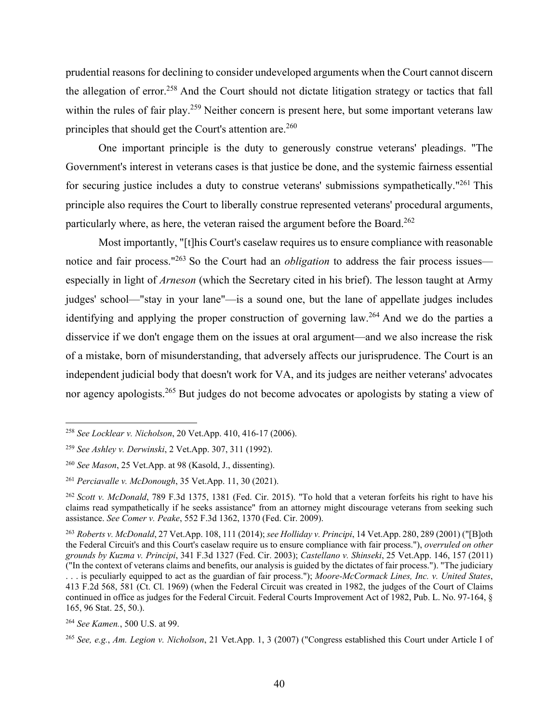prudential reasons for declining to consider undeveloped arguments when the Court cannot discern the allegation of error.<sup>258</sup> And the Court should not dictate litigation strategy or tactics that fall within the rules of fair play.<sup>259</sup> Neither concern is present here, but some important veterans law principles that should get the Court's attention are.<sup>260</sup>

One important principle is the duty to generously construe veterans' pleadings. "The Government's interest in veterans cases is that justice be done, and the systemic fairness essential for securing justice includes a duty to construe veterans' submissions sympathetically."<sup>261</sup> This principle also requires the Court to liberally construe represented veterans' procedural arguments, particularly where, as here, the veteran raised the argument before the Board.<sup>262</sup>

Most importantly, "[t]his Court's caselaw requires us to ensure compliance with reasonable notice and fair process."263 So the Court had an *obligation* to address the fair process issues especially in light of *Arneson* (which the Secretary cited in his brief). The lesson taught at Army judges' school—"stay in your lane"—is a sound one, but the lane of appellate judges includes identifying and applying the proper construction of governing law.264 And we do the parties a disservice if we don't engage them on the issues at oral argument—and we also increase the risk of a mistake, born of misunderstanding, that adversely affects our jurisprudence. The Court is an independent judicial body that doesn't work for VA, and its judges are neither veterans' advocates nor agency apologists.<sup>265</sup> But judges do not become advocates or apologists by stating a view of

<sup>258</sup> *See Locklear v. Nicholson*, 20 Vet.App. 410, 416-17 (2006).

<sup>259</sup> *See Ashley v. Derwinski*, 2 Vet.App. 307, 311 (1992).

<sup>260</sup> *See Mason*, 25 Vet.App. at 98 (Kasold, J., dissenting).

<sup>261</sup> *Perciavalle v. McDonough*, 35 Vet.App. 11, 30 (2021).

<sup>262</sup> *Scott v. McDonald*, 789 F.3d 1375, 1381 (Fed. Cir. 2015). "To hold that a veteran forfeits his right to have his claims read sympathetically if he seeks assistance" from an attorney might discourage veterans from seeking such assistance. *See Comer v. Peake*, 552 F.3d 1362, 1370 (Fed. Cir. 2009).

<sup>263</sup> *Roberts v. McDonald*, 27 Vet.App. 108, 111 (2014); *see Holliday v. Principi*, 14 Vet.App. 280, 289 (2001) ("[B]oth the Federal Circuit's and this Court's caselaw require us to ensure compliance with fair process."), *overruled on other grounds by Kuzma v. Principi*, 341 F.3d 1327 (Fed. Cir. 2003); *Castellano v. Shinseki*, 25 Vet.App. 146, 157 (2011) ("In the context of veterans claims and benefits, our analysis is guided by the dictates of fair process."). "The judiciary . . . is peculiarly equipped to act as the guardian of fair process."); *Moore-McCormack Lines, Inc. v. United States*, 413 F.2d 568, 581 (Ct. Cl. 1969) (when the Federal Circuit was created in 1982, the judges of the Court of Claims continued in office as judges for the Federal Circuit. Federal Courts Improvement Act of 1982, Pub. L. No. 97-164, § 165, 96 Stat. 25, 50.).

<sup>264</sup> *See Kamen.*, 500 U.S. at 99.

<sup>265</sup> *See, e.g.*, *Am. Legion v. Nicholson*, 21 Vet.App. 1, 3 (2007) ("Congress established this Court under Article I of